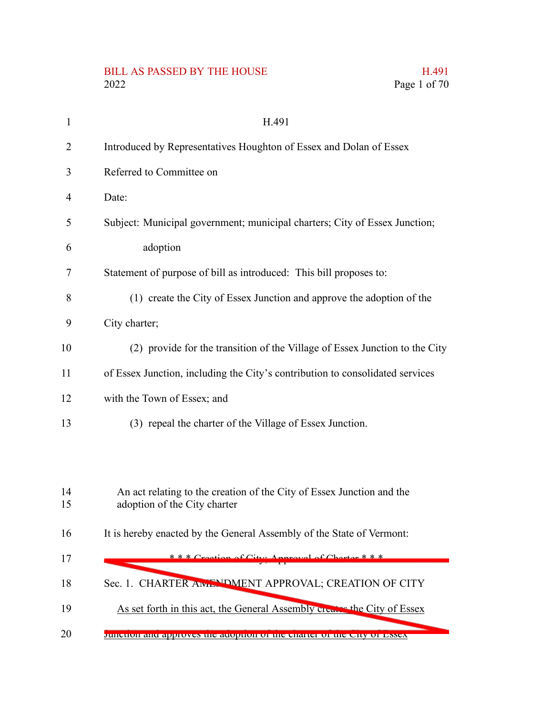## BILL AS PASSED BY THE HOUSE H.491 2022 Page 1 of 70

| $\mathbf{1}$ | H.491                                                                                                 |
|--------------|-------------------------------------------------------------------------------------------------------|
| 2            | Introduced by Representatives Houghton of Essex and Dolan of Essex                                    |
| 3            | Referred to Committee on                                                                              |
| 4            | Date:                                                                                                 |
| 5            | Subject: Municipal government; municipal charters; City of Essex Junction;                            |
| 6            | adoption                                                                                              |
| 7            | Statement of purpose of bill as introduced: This bill proposes to:                                    |
| 8            | (1) create the City of Essex Junction and approve the adoption of the                                 |
| 9            | City charter;                                                                                         |
| 10           | (2) provide for the transition of the Village of Essex Junction to the City                           |
| 11           | of Essex Junction, including the City's contribution to consolidated services                         |
| 12           | with the Town of Essex; and                                                                           |
| 13           | (3) repeal the charter of the Village of Essex Junction.                                              |
|              |                                                                                                       |
|              |                                                                                                       |
| 14<br>15     | An act relating to the creation of the City of Essex Junction and the<br>adoption of the City charter |
| 16           | It is hereby enacted by the General Assembly of the State of Vermont:                                 |
|              | $***$ Creation of City: Anneaval of Charton * * *                                                     |
| 17           |                                                                                                       |
| 18           | Sec. 1. CHARTER ANLENDMENT APPROVAL; CREATION OF CITY                                                 |
|              |                                                                                                       |

- As set forth in this act, the General Assembly creates the City of Essex 19
- Junction and approves the adoption of the charter of the City of Essex 20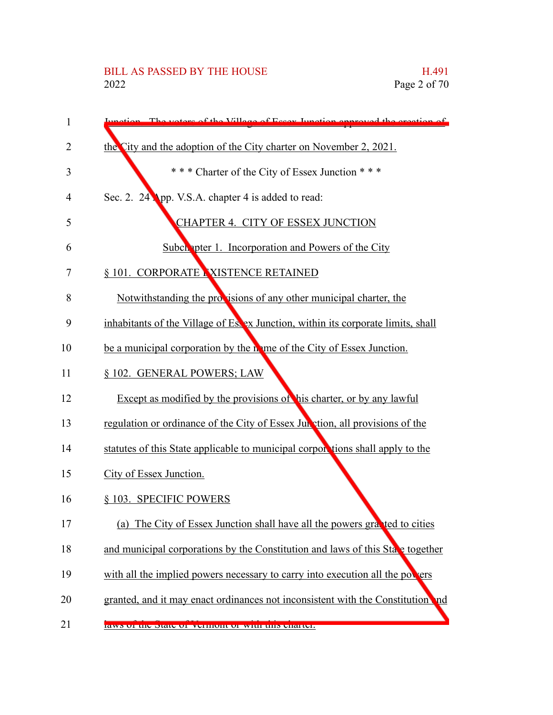## BILL AS PASSED BY THE HOUSE H.491<br>2022 Page 2 of 70

| 1  | votors of the Village of Essey Junction enproved the exertion of                  |
|----|-----------------------------------------------------------------------------------|
| 2  | the City and the adoption of the City charter on November 2, 2021.                |
| 3  | *** Charter of the City of Essex Junction ***                                     |
| 4  | Sec. 2. 24 App. V.S.A. chapter 4 is added to read:                                |
| 5  | CHAPTER 4. CITY OF ESSEX JUNCTION                                                 |
| 6  | <b>Subch</b> pter 1. Incorporation and Powers of the City                         |
| 7  | § 101. CORPORATE NISTENCE RETAINED                                                |
| 8  | Notwithstanding the provisions of any other municipal charter, the                |
| 9  | inhabitants of the Village of Es. ex Junction, within its corporate limits, shall |
| 10 | be a municipal corporation by the nome of the City of Essex Junction.             |
| 11 | § 102. GENERAL POWERS; LAW                                                        |
| 12 | Except as modified by the provisions of his charter, or by any lawful             |
| 13 | regulation or ordinance of the City of Essex Jun vtion, all provisions of the     |
| 14 | statutes of this State applicable to municipal corporations shall apply to the    |
| 15 | City of Essex Junction.                                                           |
| 16 | § 103. SPECIFIC POWERS                                                            |
| 17 | The City of Essex Junction shall have all the powers granted to cities<br>(a)     |
| 18 | and municipal corporations by the Constitution and laws of this State together    |
| 19 | with all the implied powers necessary to carry into execution all the powers      |
| 20 | granted, and it may enact ordinances not inconsistent with the Constitution and   |
| 21 | <b>RAWS OF HE SRAET OF VEHICLE OF WILLENDS SRAETIS</b>                            |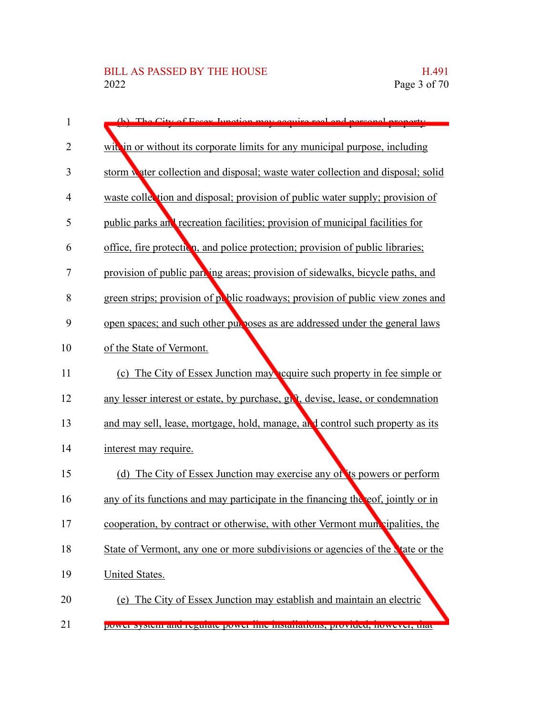| 1  | City of Eccay Innation may acquire real and nerco                                |
|----|----------------------------------------------------------------------------------|
| 2  | with in or without its corporate limits for any municipal purpose, including     |
| 3  | storm water collection and disposal; waste water collection and disposal; solid  |
| 4  | waste collection and disposal; provision of public water supply; provision of    |
| 5  | public parks and recreation facilities; provision of municipal facilities for    |
| 6  | office, fire protection, and police protection; provision of public libraries;   |
| 7  | provision of public parking areas; provision of sidewalks, bicycle paths, and    |
| 8  | green strips; provision of public roadways; provision of public view zones and   |
| 9  | open spaces; and such other purposes as are addressed under the general laws     |
| 10 | of the State of Vermont.                                                         |
| 11 | (c) The City of Essex Junction may equire such property in fee simple or         |
| 12 | any lesser interest or estate, by purchase, givt, devise, lease, or condemnation |
| 13 | and may sell, lease, mortgage, hold, manage, and control such property as its    |
| 14 | interest may require.                                                            |
| 15 | (d) The City of Essex Junction may exercise any of its powers or perform         |
| 16 | any of its functions and may participate in the financing the eof, jointly or in |
| 17 | cooperation, by contract or otherwise, with other Vermont municipalities, the    |
| 18 | State of Vermont, any one or more subdivisions or agencies of the State or the   |
| 19 | <b>United States.</b>                                                            |
| 20 | (e) The City of Essex Junction may establish and maintain an electric            |
| 21 | power system and regulate power nne instantations, provided, nowever, that       |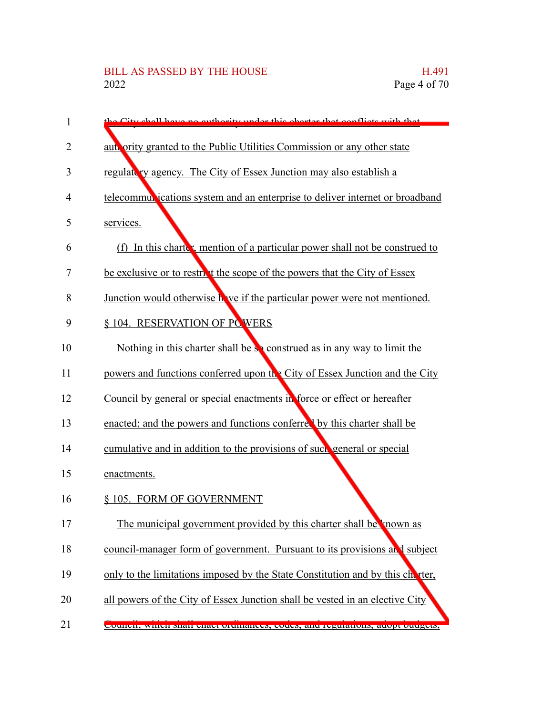| 1  | the City shall have no sutherity under this shorter that conflicts with that   |
|----|--------------------------------------------------------------------------------|
| 2  | authority granted to the Public Utilities Commission or any other state        |
| 3  | regulate ty agency. The City of Essex Junction may also establish a            |
| 4  | telecommul jeations system and an enterprise to deliver internet or broadband  |
| 5  | services.                                                                      |
| 6  | (f) In this charter, mention of a particular power shall not be construed to   |
| 7  | be exclusive or to restrict the scope of the powers that the City of Essex     |
| 8  | Junction would otherwise h ve if the particular power were not mentioned.      |
| 9  | § 104. RESERVATION OF POWERS                                                   |
| 10 | Nothing in this charter shall be so construed as in any way to limit the       |
| 11 | powers and functions conferred upon the City of Essex Junction and the City    |
| 12 | Council by general or special enactments in force or effect or hereafter       |
| 13 | enacted; and the powers and functions conferred by this charter shall be       |
| 14 | cumulative and in addition to the provisions of such general or special        |
| 15 | enactments.                                                                    |
| 16 | § 105. FORM OF GOVERNMENT                                                      |
| 17 | The municipal government provided by this charter shall be known as            |
| 18 | council-manager form of government. Pursuant to its provisions and subject     |
| 19 | only to the limitations imposed by the State Constitution and by this charter, |
| 20 | all powers of the City of Essex Junction shall be vested in an elective City   |
| 21 | Council, winch shan chact orthmances, coues, and regulations, adopt outigets,  |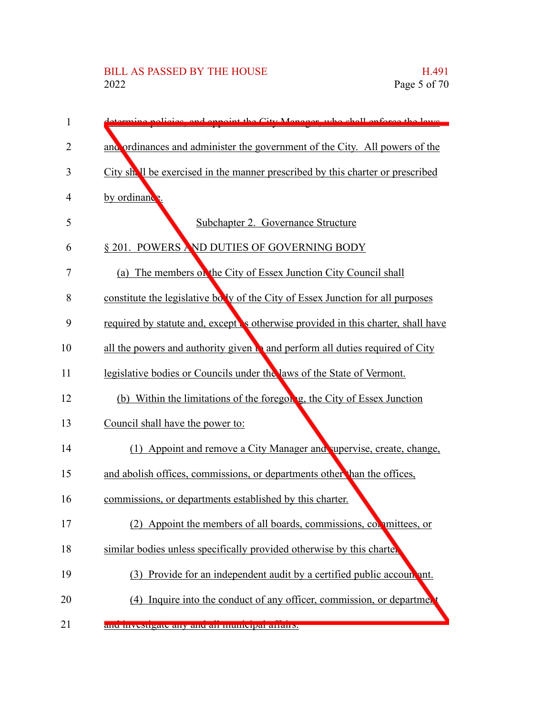| 1  | City Manager who shall enforce the laws                                                |
|----|----------------------------------------------------------------------------------------|
| 2  | and ordinances and administer the government of the City. All powers of the            |
| 3  | City shall be exercised in the manner prescribed by this charter or prescribed         |
| 4  | by ordinance.                                                                          |
| 5  | Subchapter 2. Governance Structure                                                     |
| 6  | § 201. POWERS AND DUTIES OF GOVERNING BODY                                             |
| 7  | (a) The members on the City of Essex Junction City Council shall                       |
| 8  | constitute the legislative bolly of the City of Essex Junction for all purposes        |
| 9  | required by statute and, except is otherwise provided in this charter, shall have      |
| 10 | all the powers and authority given $\mathbf b$ and perform all duties required of City |
| 11 | legislative bodies or Councils under the laws of the State of Vermont.                 |
| 12 | (b) Within the limitations of the foregon g, the City of Essex Junction                |
| 13 | Council shall have the power to:                                                       |
| 14 | (1) Appoint and remove a City Manager and supervise, create, change,                   |
| 15 | and abolish offices, commissions, or departments other than the offices,               |
| 16 | commissions, or departments established by this charter.                               |
| 17 | Appoint the members of all boards, commissions, committees, or                         |
| 18 | similar bodies unless specifically provided otherwise by this charter                  |
| 19 | (3) Provide for an independent audit by a certified public account ant.                |
| 20 | Inquire into the conduct of any officer, commission, or department<br>(4)              |
| 21 | anu mvesugate any anu an mumeipar arrans.                                              |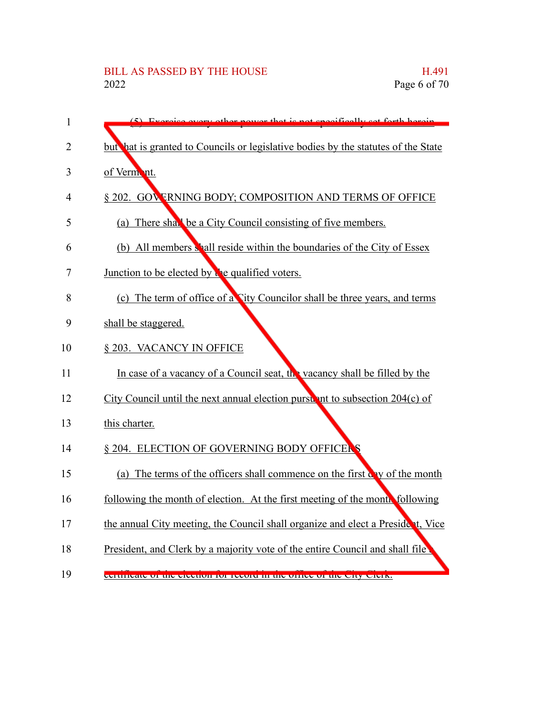| 1  | $(5)$ Evergica avant<br>not <i>engoifically cot forth horoin</i><br>nowar that    |
|----|-----------------------------------------------------------------------------------|
| 2  | but hat is granted to Councils or legislative bodies by the statutes of the State |
| 3  | of Vermont.                                                                       |
| 4  | § 202. GOV FRNING BODY; COMPOSITION AND TERMS OF OFFICE                           |
| 5  | (a) There shall be a City Council consisting of five members.                     |
| 6  | (b) All members shall reside within the boundaries of the City of Essex           |
| 7  | Junction to be elected by the qualified voters.                                   |
| 8  | (c) The term of office of a City Councilor shall be three years, and terms        |
| 9  | shall be staggered.                                                               |
| 10 | § 203. VACANCY IN OFFICE                                                          |
| 11 | In case of a vacancy of a Council seat, the vacancy shall be filled by the        |
| 12 | City Council until the next annual election purst, int to subsection $204(c)$ of  |
| 13 | this charter.                                                                     |
| 14 | § 204. ELECTION OF GOVERNING BODY OFFICERS                                        |
| 15 | (a) The terms of the officers shall commence on the first cay of the month        |
| 16 | following the month of election. At the first meeting of the month following      |
| 17 | the annual City meeting, the Council shall organize and elect a President, Vice   |
| 18 | President, and Clerk by a majority vote of the entire Council and shall file      |
| 19 | certificate of the electron for record in the office of the City Clerk.           |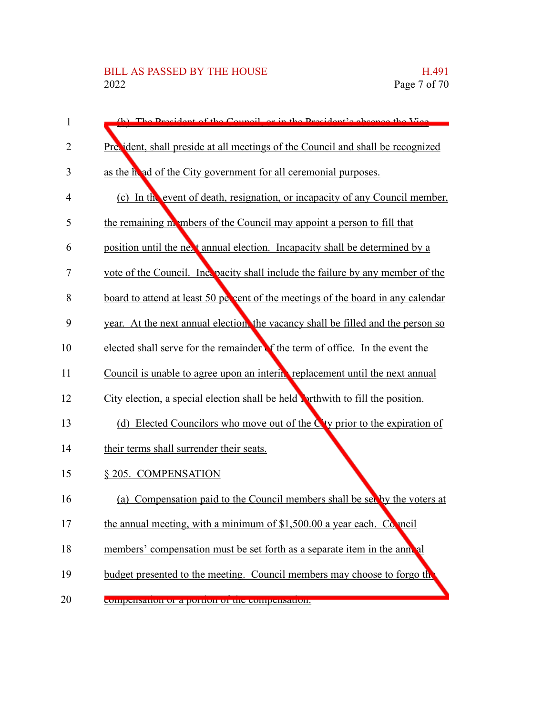| 1              | (b) The President of the Council or in the President's epsence the Vice          |
|----------------|----------------------------------------------------------------------------------|
| $\overline{2}$ | Precident, shall preside at all meetings of the Council and shall be recognized  |
| 3              | as the head of the City government for all ceremonial purposes.                  |
| 4              | (c) In the event of death, resignation, or incapacity of any Council member,     |
| 5              | the remaining members of the Council may appoint a person to fill that           |
| 6              | position until the next annual election. Incapacity shall be determined by a     |
| 7              | vote of the Council. Include the failure by any member of the                    |
| 8              | board to attend at least 50 percent of the meetings of the board in any calendar |
| 9              | year. At the next annual election, the vacancy shall be filled and the person so |
| 10             | elected shall serve for the remainder of the term of office. In the event the    |
| 11             | Council is unable to agree upon an intering replacement until the next annual    |
| 12             | City election, a special election shall be held porthwith to fill the position.  |
| 13             | (d) Elected Councilors who move out of the $C$ ty prior to the expiration of     |
| 14             | their terms shall surrender their seats.                                         |
| 15             | § 205. COMPENSATION                                                              |
| 16             | (a) Compensation paid to the Council members shall be set by the voters at       |
| 17             | the annual meeting, with a minimum of $$1,500.00$ a year each. Connoil           |
| 18             | members' compensation must be set forth as a separate item in the annual         |
| 19             | budget presented to the meeting. Council members may choose to forgo the         |
| 20             | compensation of a portion of the compensation.                                   |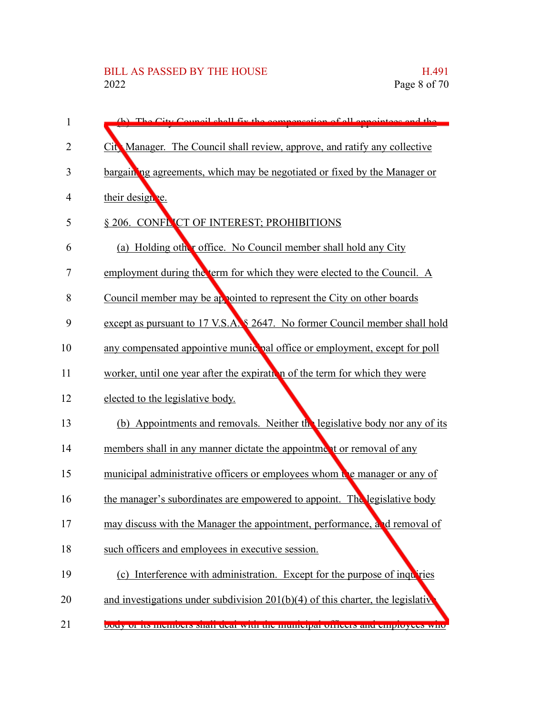| 1              | (b) The City Council shall fix the compensation of all appointess and the         |
|----------------|-----------------------------------------------------------------------------------|
| $\overline{2}$ | City Manager. The Council shall review, approve, and ratify any collective        |
| 3              | bargaining agreements, which may be negotiated or fixed by the Manager or         |
| 4              | their designe.                                                                    |
| 5              | § 206. CONFLICT OF INTEREST; PROHIBITIONS                                         |
| 6              | (a) Holding other office. No Council member shall hold any City                   |
| 7              | employment during the term for which they were elected to the Council. A          |
| 8              | Council member may be appointed to represent the City on other boards             |
| 9              | except as pursuant to 17 V.S.A. § 2647. No former Council member shall hold       |
| 10             | any compensated appointive munic pal office or employment, except for poll        |
| 11             | worker, until one year after the expiration of the term for which they were       |
| 12             | elected to the legislative body.                                                  |
| 13             | (b) Appointments and removals. Neither the legislative body nor any of its        |
| 14             | members shall in any manner dictate the appointment or removal of any             |
| 15             | municipal administrative officers or employees whom the manager or any of         |
| 16             | the manager's subordinates are empowered to appoint. The legislative body         |
| 17             | may discuss with the Manager the appointment, performance, and removal of         |
| 18             | such officers and employees in executive session.                                 |
| 19             | (c) Interference with administration. Except for the purpose of inquiries         |
| 20             | and investigations under subdivision $201(b)(4)$ of this charter, the legislative |
| 21             | body of its includers shall deal with the municipal officers and employees who    |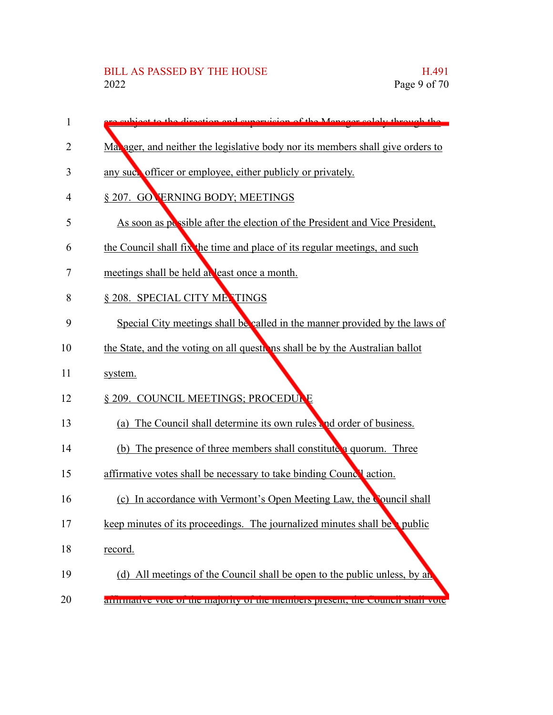| 1  | phiect to the direction and cuneryisian of the Manager solely through the       |
|----|---------------------------------------------------------------------------------|
| 2  | Ma. ager, and neither the legislative body nor its members shall give orders to |
| 3  | any such officer or employee, either publicly or privately.                     |
| 4  | § 207. GOVERNING BODY; MEETINGS                                                 |
| 5  | As soon as possible after the election of the President and Vice President,     |
| 6  | the Council shall fix the time and place of its regular meetings, and such      |
| 7  | meetings shall be held at least once a month.                                   |
| 8  | § 208. SPECIAL CITY METINGS                                                     |
| 9  | Special City meetings shall be called in the manner provided by the laws of     |
| 10 | the State, and the voting on all questions shall be by the Australian ballot    |
| 11 | system.                                                                         |
| 12 | § 209. COUNCIL MEETINGS; PROCEDULE                                              |
| 13 | (a) The Council shall determine its own rules and order of business.            |
| 14 | (b) The presence of three members shall constitute a quorum. Three              |
| 15 | affirmative votes shall be necessary to take binding Councel action.            |
| 16 | (c) In accordance with Vermont's Open Meeting Law, the Council shall            |
| 17 | keep minutes of its proceedings. The journalized minutes shall be public        |
| 18 | record.                                                                         |
| 19 | (d) All meetings of the Council shall be open to the public unless, by an       |
| 20 | annualive vole of the majority of the inemocis present, the council share vole  |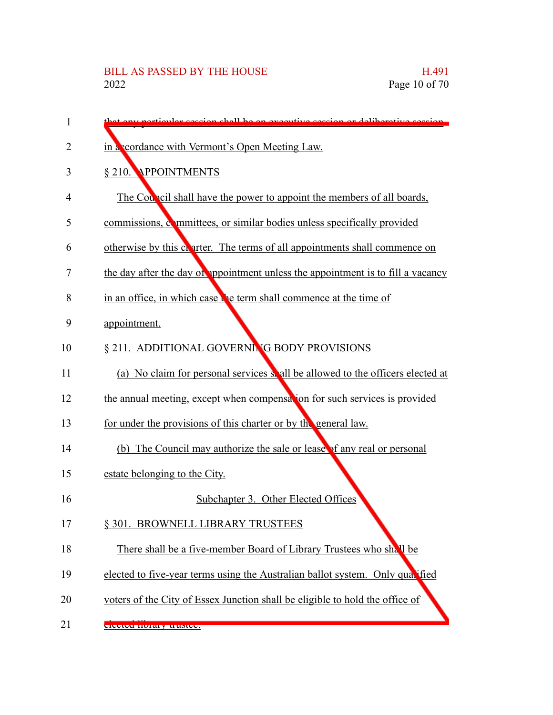| 1              | that any particular session shall be an executive session or deliberative session. |
|----------------|------------------------------------------------------------------------------------|
| $\overline{2}$ | in a cordance with Vermont's Open Meeting Law.                                     |
| 3              | § 210. APPOINTMENTS                                                                |
| 4              | The Council shall have the power to appoint the members of all boards,             |
| 5              | commissions, committees, or similar bodies unless specifically provided            |
| 6              | otherwise by this charter. The terms of all appointments shall commence on         |
| 7              | the day after the day of appointment unless the appointment is to fill a vacancy   |
| 8              | in an office, in which case the term shall commence at the time of                 |
| 9              | appointment.                                                                       |
| 10             | § 211. ADDITIONAL GOVERNING BODY PROVISIONS                                        |
| 11             | (a) No claim for personal services so all be allowed to the officers elected at    |
| 12             | the annual meeting, except when compensation for such services is provided         |
| 13             | for under the provisions of this charter or by the general law.                    |
| 14             | (b) The Council may authorize the sale or lease of any real or personal            |
| 15             | estate belonging to the City.                                                      |
| 16             | Subchapter 3. Other Elected Offices                                                |
| 17             | § 301. BROWNELL LIBRARY TRUSTEES                                                   |
| 18             | There shall be a five-member Board of Library Trustees who shall be                |
| 19             | elected to five-year terms using the Australian ballot system. Only qualified      |
| 20             | voters of the City of Essex Junction shall be eligible to hold the office of       |
| 21             | elected horaly trustee.                                                            |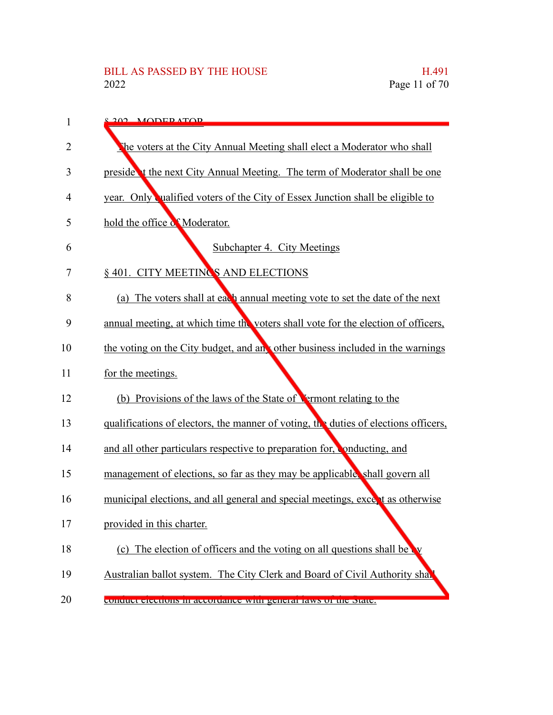| 1              | <u>e 202 - MODER ATOR</u>                                                           |
|----------------|-------------------------------------------------------------------------------------|
| $\overline{2}$ | The voters at the City Annual Meeting shall elect a Moderator who shall             |
| 3              | preside t the next City Annual Meeting. The term of Moderator shall be one          |
| 4              | year. Only ualified voters of the City of Essex Junction shall be eligible to       |
| 5              | hold the office of Moderator.                                                       |
| 6              | Subchapter 4. City Meetings                                                         |
| 7              | § 401. CITY MEETINGS AND ELECTIONS                                                  |
| 8              | (a) The voters shall at each annual meeting vote to set the date of the next        |
| 9              | annual meeting, at which time the voters shall vote for the election of officers,   |
| 10             | the voting on the City budget, and an other business included in the warnings       |
| 11             | for the meetings.                                                                   |
| 12             | (b) Provisions of the laws of the State of Vermont relating to the                  |
| 13             | qualifications of electors, the manner of voting, the duties of elections officers, |
| 14             | and all other particulars respective to preparation for, conducting, and            |
| 15             | management of elections, so far as they may be applicable, shall govern all         |
| 16             | municipal elections, and all general and special meetings, excent as otherwise      |
| 17             | provided in this charter.                                                           |
| 18             | (c) The election of officers and the voting on all questions shall be               |
| 19             | Australian ballot system. The City Clerk and Board of Civil Authority shall         |
| 20             | conquet ciections in accordance with general laws or the state.                     |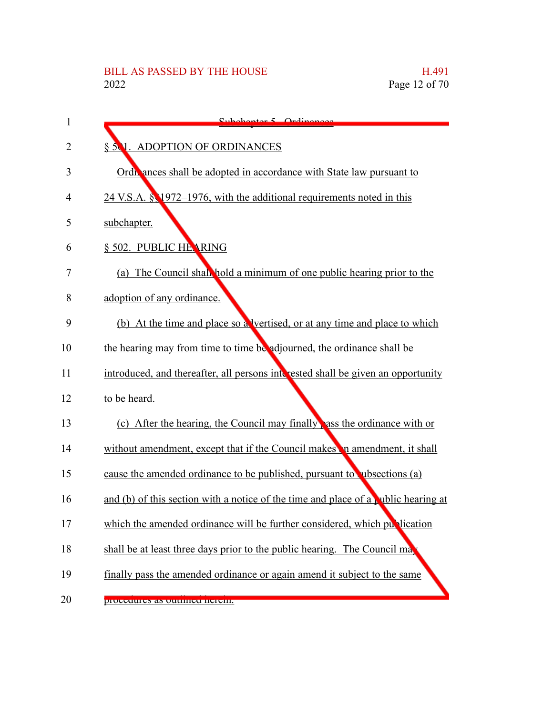| 1              | Subohantor 5 Ordinances                                                            |
|----------------|------------------------------------------------------------------------------------|
| $\overline{2}$ | § 501. ADOPTION OF ORDINANCES                                                      |
| 3              | Ordi ances shall be adopted in accordance with State law pursuant to               |
| 4              | 24 V.S.A. § 1972–1976, with the additional requirements noted in this              |
| 5              | subchapter.                                                                        |
| 6              | § 502. PUBLIC HEARING                                                              |
| 7              | (a) The Council shall hold a minimum of one public hearing prior to the            |
| 8              | adoption of any ordinance.                                                         |
| 9              | (b) At the time and place so a vertised, or at any time and place to which         |
| 10             | the hearing may from time to time be adjourned, the ordinance shall be             |
| 11             | introduced, and thereafter, all persons interested shall be given an opportunity   |
| 12             | to be heard.                                                                       |
| 13             | (c) After the hearing, the Council may finally ass the ordinance with or           |
| 14             | without amendment, except that if the Council makes in amendment, it shall         |
| 15             | cause the amended ordinance to be published, pursuant to ubsections (a)            |
| 16             | and (b) of this section with a notice of the time and place of a wiblic hearing at |
| 17             | which the amended ordinance will be further considered, which publication          |
| 18             | shall be at least three days prior to the public hearing. The Council ma           |
| 19             | finally pass the amended ordinance or again amend it subject to the same           |
| 20             | procedures as outnined nereni.                                                     |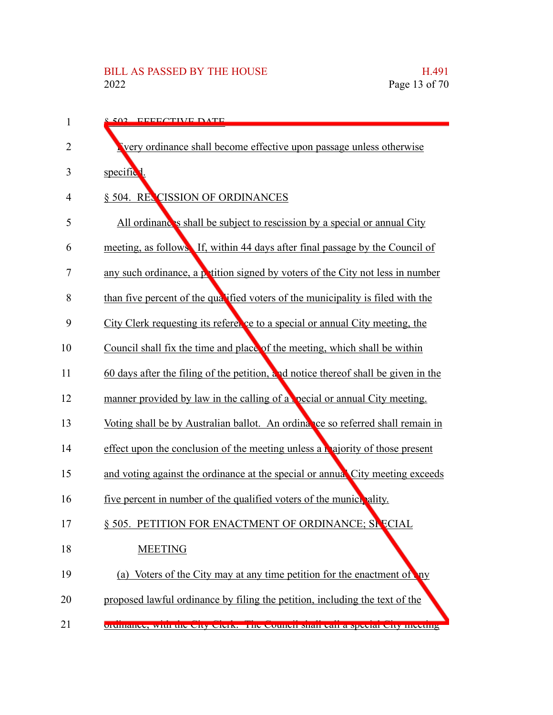| 1  | 8.502 EFFECTIVE DATE                                                                 |
|----|--------------------------------------------------------------------------------------|
| 2  | very ordinance shall become effective upon passage unless otherwise                  |
| 3  | specific <sup>1</sup> .                                                              |
| 4  | § 504. RECISSION OF ORDINANCES                                                       |
| 5  | All ordinances shall be subject to rescission by a special or annual City            |
| 6  | meeting, as follows. If, within 44 days after final passage by the Council of        |
| 7  | any such ordinance, a $\beta$ tition signed by voters of the City not less in number |
| 8  | than five percent of the qualified voters of the municipality is filed with the      |
| 9  | City Clerk requesting its referer ce to a special or annual City meeting, the        |
| 10 | Council shall fix the time and place of the meeting, which shall be within           |
| 11 | 60 days after the filing of the petition, and notice thereof shall be given in the   |
| 12 | manner provided by law in the calling of a pecial or annual City meeting.            |
| 13 | Voting shall be by Australian ballot. An ordinance so referred shall remain in       |
| 14 | effect upon the conclusion of the meeting unless a majority of those present         |
| 15 | and voting against the ordinance at the special or annual City meeting exceeds       |
| 16 | five percent in number of the qualified voters of the municipality.                  |
| 17 | § 505. PETITION FOR ENACTMENT OF ORDINANCE; SPECIAL                                  |
| 18 | <b>MEETING</b>                                                                       |
| 19 | (a) Voters of the City may at any time petition for the enactment of<br>$\mathbf{u}$ |
| 20 | proposed lawful ordinance by filing the petition, including the text of the          |
| 21 | orumance, while the city clerk. The council shall can a special city incentig        |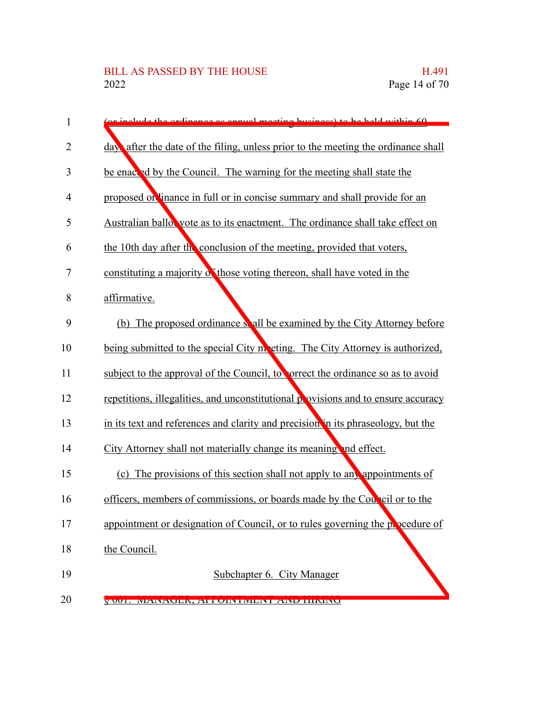| $\mathbf{1}$   | noo oo annual mootin<br>h                                                         |
|----------------|-----------------------------------------------------------------------------------|
| 2              | day after the date of the filing, unless prior to the meeting the ordinance shall |
| 3              | be enacted by the Council. The warning for the meeting shall state the            |
| 4              | proposed on linance in full or in concise summary and shall provide for an        |
| 5              | Australian ballor vote as to its enactment. The ordinance shall take effect on    |
| 6              | the 10th day after the conclusion of the meeting, provided that voters,           |
| $\overline{7}$ | constituting a majority of those voting thereon, shall have voted in the          |
| 8              | affirmative.                                                                      |
| 9              | (b) The proposed ordinance shall be examined by the City Attorney before          |
| 10             | being submitted to the special City meeting. The City Attorney is authorized,     |
| 11             | subject to the approval of the Council, to correct the ordinance so as to avoid   |
| 12             | repetitions, illegalities, and unconstitutional provisions and to ensure accuracy |
| 13             | in its text and references and clarity and precision in its phraseology, but the  |
| 14             | City Attorney shall not materially change its meaning and effect.                 |
| 15             | (c) The provisions of this section shall not apply to any appointments of         |
| 16             | officers, members of commissions, or boards made by the Council or to the         |
| 17             | appointment or designation of Council, or to rules governing the popedure of      |
| 18             | the Council.                                                                      |
| 19             | Subchapter 6. City Manager                                                        |
| 20             | V 001. INFINAULIN, ATTUINTINIENT AINE HININU                                      |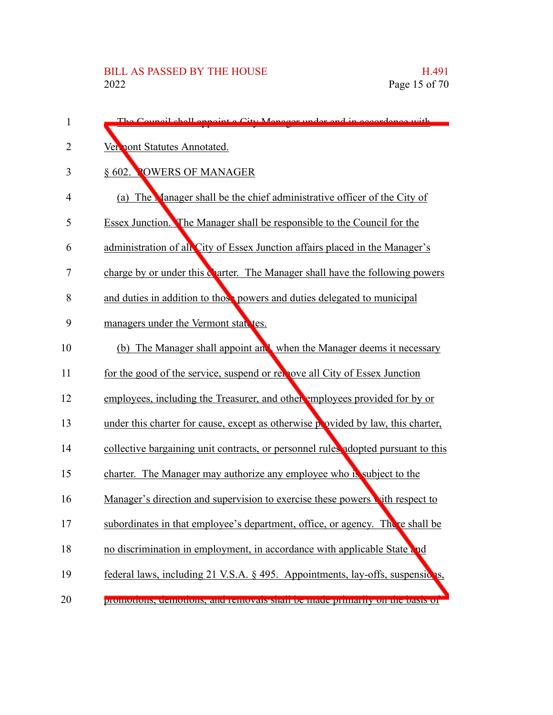| 1  | The Council shall ennaint a City Manager under and in accordance with             |
|----|-----------------------------------------------------------------------------------|
| 2  | Ven nont Statutes Annotated.                                                      |
| 3  | § 602. POWERS OF MANAGER                                                          |
| 4  | (a) The Manager shall be the chief administrative officer of the City of          |
| 5  | Essex Junction. The Manager shall be responsible to the Council for the           |
| 6  | administration of all City of Essex Junction affairs placed in the Manager's      |
| 7  | charge by or under this charter. The Manager shall have the following powers      |
| 8  | and duties in addition to those powers and duties delegated to municipal          |
| 9  | managers under the Vermont state tes.                                             |
| 10 | (b) The Manager shall appoint and when the Manager deems it necessary             |
| 11 | for the good of the service, suspend or rel love all City of Essex Junction       |
| 12 | employees, including the Treasurer, and other employees provided for by or        |
| 13 | under this charter for cause, except as otherwise provided by law, this charter,  |
| 14 | collective bargaining unit contracts, or personnel rules adopted pursuant to this |
| 15 | charter. The Manager may authorize any employee who is subject to the             |
| 16 | Manager's direction and supervision to exercise these powers with respect to      |
| 17 | subordinates in that employee's department, office, or agency. There shall be     |
| 18 | no discrimination in employment, in accordance with applicable State and          |
| 19 | federal laws, including 21 V.S.A. § 495. Appointments, lay-offs, suspensicas,     |
| 20 | ргоннопонь, асписионы, ана генномать мнан ос тнаас ргинатну он анс бамь от        |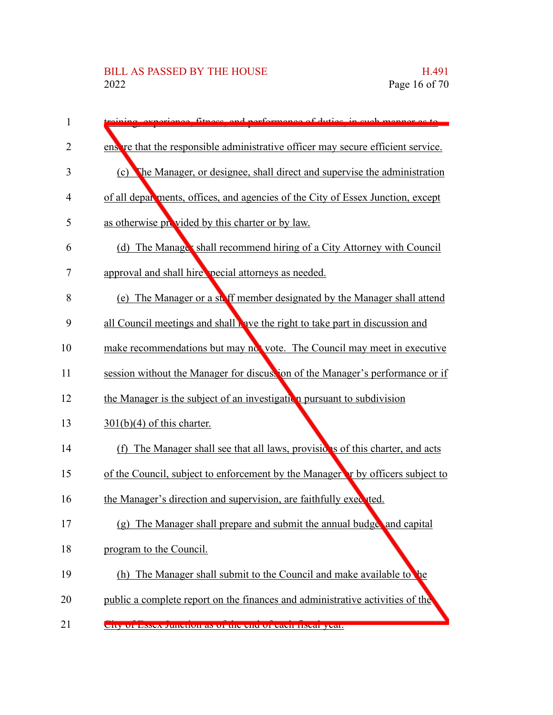| 1              | fitness and performance of duties in such monner as                                 |
|----------------|-------------------------------------------------------------------------------------|
| 2              | ensive that the responsible administrative officer may secure efficient service.    |
| 3              | The Manager, or designee, shall direct and supervise the administration<br>(c)      |
| 4              | of all departments, offices, and agencies of the City of Essex Junction, except     |
| 5              | as otherwise provided by this charter or by law.                                    |
| 6              | (d) The Manage's shall recommend hiring of a City Attorney with Council             |
| $\overline{7}$ | approval and shall hire pecial attorneys as needed.                                 |
| 8              | (e) The Manager or a ste ff member designated by the Manager shall attend           |
| 9              | all Council meetings and shall wave the right to take part in discussion and        |
| 10             | make recommendations but may not vote. The Council may meet in executive            |
| 11             | session without the Manager for discustion of the Manager's performance or if       |
| 12             | the Manager is the subject of an investigation pursuant to subdivision              |
| 13             | $301(b)(4)$ of this charter.                                                        |
| 14             | (f) The Manager shall see that all laws, provisions of this charter, and acts       |
| 15             | of the Council, subject to enforcement by the Manager r by officers subject to      |
| 16             | the Manager's direction and supervision, are faithfully executed.                   |
| 17             | The Manager shall prepare and submit the annual budge and capital<br>(g)            |
| 18             | program to the Council.                                                             |
| 19             | (h) The Manager shall submit to the Council and make available to<br>$\mathbf{h}$ e |
| 20             | public a complete report on the finances and administrative activities of the       |
| 21             | <u>Uny urbosca Junction as ur the church caun nscar year.</u>                       |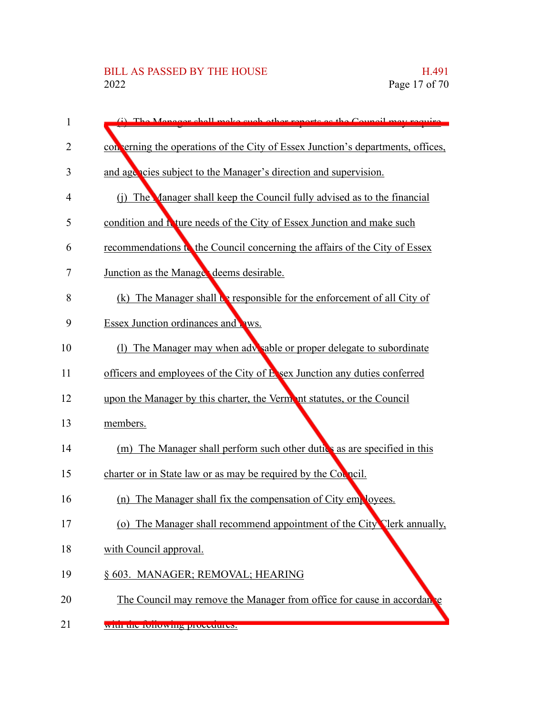| 1  | (i) The Menegar shall make such other reports as the Council may require        |
|----|---------------------------------------------------------------------------------|
| 2  | con erning the operations of the City of Essex Junction's departments, offices, |
| 3  | and agencies subject to the Manager's direction and supervision.                |
| 4  | (j) The Manager shall keep the Council fully advised as to the financial        |
| 5  | condition and I ture needs of the City of Essex Junction and make such          |
| 6  | recommendations to the Council concerning the affairs of the City of Essex      |
| 7  | Junction as the Manage deems desirable.                                         |
| 8  | (k) The Manager shall be responsible for the enforcement of all City of         |
| 9  | Essex Junction ordinances and <b>AWS</b> .                                      |
| 10 | (1) The Manager may when adv sable or proper delegate to subordinate            |
| 11 | officers and employees of the City of Esex Junction any duties conferred        |
| 12 | upon the Manager by this charter, the Vermant statutes, or the Council          |
| 13 | members.                                                                        |
| 14 | (m) The Manager shall perform such other dutics as are specified in this        |
| 15 | charter or in State law or as may be required by the Council.                   |
| 16 | (n) The Manager shall fix the compensation of City $em_k$ loyees.               |
| 17 | (o) The Manager shall recommend appointment of the City Clerk annually,         |
| 18 | with Council approval.                                                          |
| 19 | § 603. MANAGER; REMOVAL; HEARING                                                |
| 20 | The Council may remove the Manager from office for cause in accordance          |
| 21 | with the following procedures.                                                  |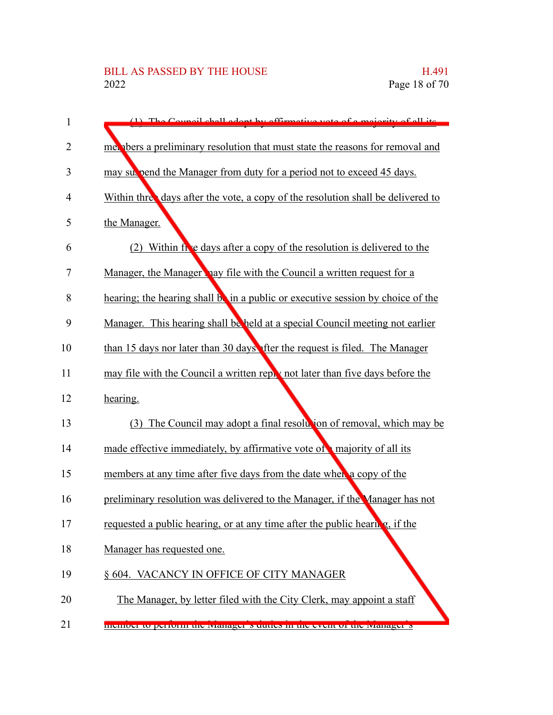| $(1)$ The Council shell adopt by effirmative yets of a majority of all its                               |
|----------------------------------------------------------------------------------------------------------|
| met about the reasons for removal and metallicity resolution that must state the reasons for removal and |
| may subseted the Manager from duty for a period not to exceed 45 days.                                   |
| Within three days after the vote, a copy of the resolution shall be delivered to                         |
| the Manager.                                                                                             |
| (2) Within five days after a copy of the resolution is delivered to the                                  |
| Manager, the Manager hay file with the Council a written request for a                                   |
| hearing; the hearing shall be in a public or executive session by choice of the                          |
| Manager. This hearing shall be held at a special Council meeting not earlier                             |
| than 15 days nor later than 30 days fter the request is filed. The Manager                               |
| may file with the Council a written reply not later than five days before the                            |
| hearing.                                                                                                 |
| (3) The Council may adopt a final resolution of removal, which may be                                    |
| made effective immediately, by affirmative vote of majority of all its                                   |
| members at any time after five days from the date when a copy of the                                     |
| preliminary resolution was delivered to the Manager, if the Manager has not                              |
| requested a public hearing, or at any time after the public hearing, if the                              |
| Manager has requested one.                                                                               |
| § 604. VACANCY IN OFFICE OF CITY MANAGER                                                                 |
| The Manager, by letter filed with the City Clerk, may appoint a staff                                    |
| memoer to perform the tyranager is utilies in the event or the tyranager is                              |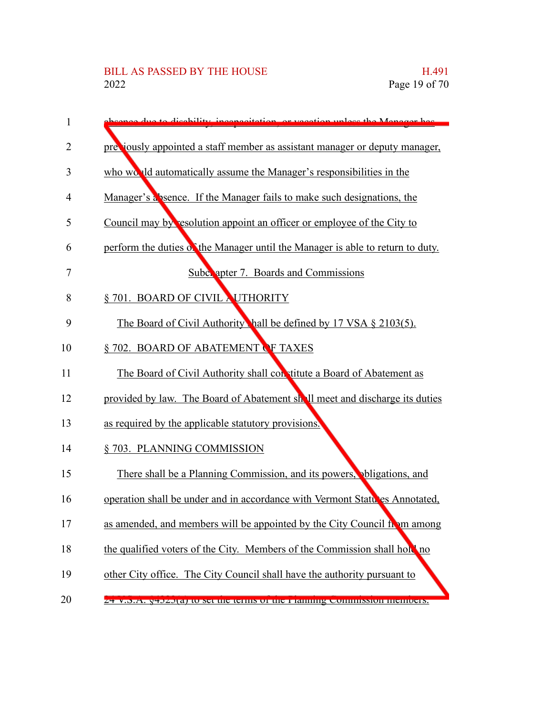| 1  | due to disobility inconscitation or vecetion unless the Manager has            |
|----|--------------------------------------------------------------------------------|
| 2  | preciously appointed a staff member as assistant manager or deputy manager,    |
| 3  | who would automatically assume the Manager's responsibilities in the           |
| 4  | Manager's a bence. If the Manager fails to make such designations, the         |
| 5  | Council may by resolution appoint an officer or employee of the City to        |
| 6  | perform the duties of the Manager until the Manager is able to return to duty. |
| 7  | Subchapter 7. Boards and Commissions                                           |
| 8  | § 701. BOARD OF CIVIL NUTHORITY                                                |
| 9  | The Board of Civil Authority hall be defined by 17 VSA § 2103(5).              |
| 10 | §702. BOARD OF ABATEMENT OF TAXES                                              |
| 11 | The Board of Civil Authority shall constitute a Board of Abatement as          |
| 12 | provided by law. The Board of Abatement shall meet and discharge its duties    |
| 13 | as required by the applicable statutory provisions.                            |
| 14 | § 703. PLANNING COMMISSION                                                     |
| 15 | There shall be a Planning Commission, and its powers, obligations, and         |
| 16 | operation shall be under and in accordance with Vermont Statutes Annotated,    |
| 17 | as amended, and members will be appointed by the City Council from among       |
| 18 | the qualified voters of the City. Members of the Commission shall hold no      |
| 19 | other City office. The City Council shall have the authority pursuant to       |
| 20 | <u> 24 у.э.А. ү4э2э(а) w set me terms ог me гтаннигу commission memoers.</u>   |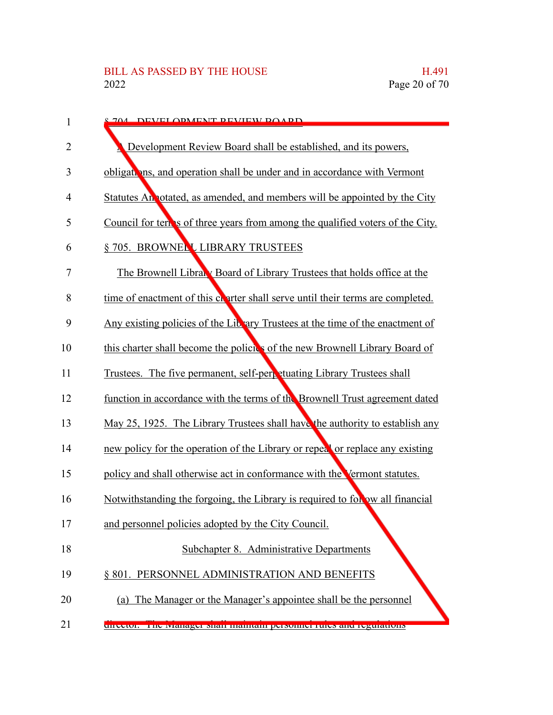| 1              | <u>2 704 DEVELODMENT DEVIEW DOADD</u>                                           |
|----------------|---------------------------------------------------------------------------------|
| 2              | Development Review Board shall be established, and its powers,                  |
| 3              | obligations, and operation shall be under and in accordance with Vermont        |
| $\overline{4}$ | Statutes An otated, as amended, and members will be appointed by the City       |
| 5              | Council for term is of three years from among the qualified voters of the City. |
| 6              | § 705. BROWNELL LIBRARY TRUSTEES                                                |
| 7              | The Brownell Library Board of Library Trustees that holds office at the         |
| 8              | time of enactment of this charter shall serve until their terms are completed.  |
| 9              | Any existing policies of the Library Trustees at the time of the enactment of   |
| 10             | this charter shall become the policies of the new Brownell Library Board of     |
| 11             | Trustees. The five permanent, self-perpetuating Library Trustees shall          |
| 12             | function in accordance with the terms of the Brownell Trust agreement dated     |
| 13             | May 25, 1925. The Library Trustees shall have the authority to establish any    |
| 14             | new policy for the operation of the Library or repeat or replace any existing   |
| 15             | policy and shall otherwise act in conformance with the Vermont statutes.        |
| 16             | Notwithstanding the forgoing, the Library is required to follow all financial   |
|                | and personnel policies adopted by the City Council.                             |
| 18             | Subchapter 8. Administrative Departments                                        |
| 19             | § 801. PERSONNEL ADMINISTRATION AND BENEFITS                                    |
| 20             | (a) The Manager or the Manager's appointee shall be the personnel               |
| 21             | uncetor. The tyranager shan manualli personnel rules and regulations            |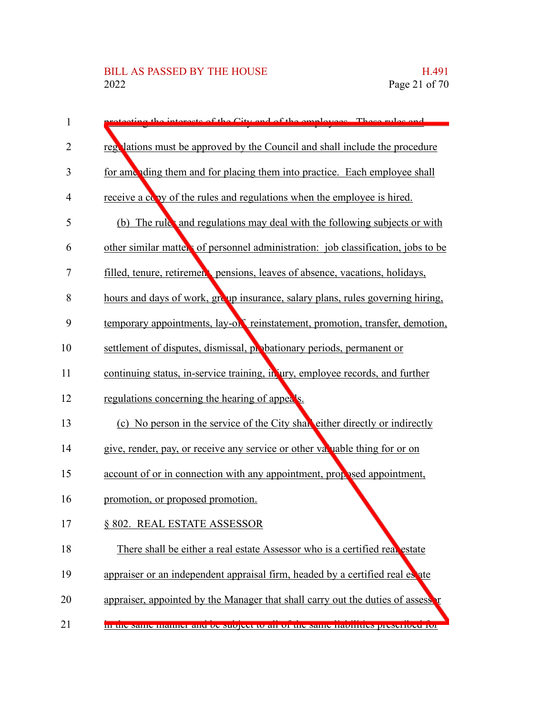| $\mathbf{1}$   | torogta of the City and of the<br>employees These rules and                        |
|----------------|------------------------------------------------------------------------------------|
| 2              | regulations must be approved by the Council and shall include the procedure        |
| 3              | for amending them and for placing them into practice. Each employee shall          |
| $\overline{4}$ | receive a copy of the rules and regulations when the employee is hired.            |
| 5              | (b) The rule and regulations may deal with the following subjects or with          |
|                | other similar matters of personnel administration: job classification, jobs to be  |
|                | filled, tenure, retirement pensions, leaves of absence, vacations, holidays,       |
|                | hours and days of work, group insurance, salary plans, rules governing hiring,     |
|                | temporary appointments, lay-or reinstatement, promotion, transfer, demotion,       |
|                | settlement of disputes, dismissal, probationary periods, permanent or              |
|                | continuing status, in-service training, in ury, employee records, and further      |
|                | regulations concerning the hearing of appeals.                                     |
|                | (c) No person in the service of the City shall either directly or indirectly       |
|                | give, render, pay, or receive any service or other variable thing for or on        |
|                | account of or in connection with any appointment, prop sed appointment,            |
|                | promotion, or proposed promotion.                                                  |
|                | § 802. REAL ESTATE ASSESSOR                                                        |
|                | There shall be either a real estate Assessor who is a certified real estate        |
|                | appraiser or an independent appraisal firm, headed by a certified real es ate      |
|                | appraiser, appointed by the Manager that shall carry out the duties of assesser    |
|                | <u>In the same manner and be subject to an or the same nabintees presented for</u> |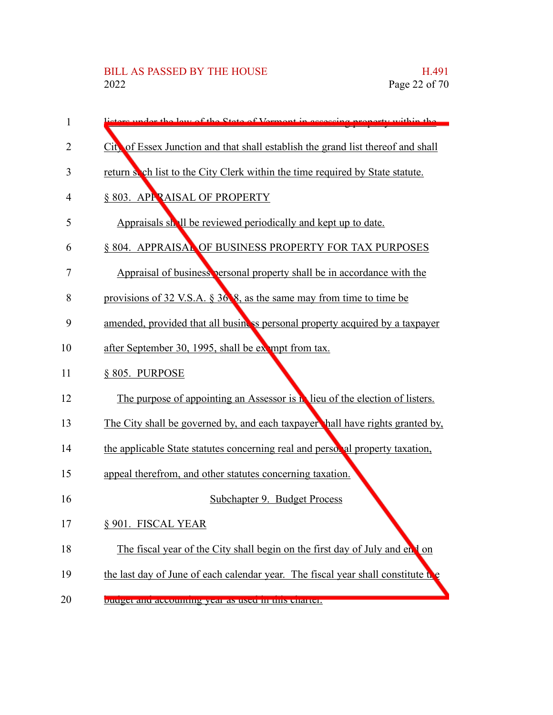# BILL AS PASSED BY THE HOUSE H.491<br>2022 Page 22 of 70

| $\mathbf{1}$   | ore under the law of the State of Vermont in accoccing are<br>norty within the     |
|----------------|------------------------------------------------------------------------------------|
| $\overline{2}$ | City of Essex Junction and that shall establish the grand list thereof and shall   |
| 3              | return so ch list to the City Clerk within the time required by State statute.     |
| 4              | § 803. APPRAISAL OF PROPERTY                                                       |
| 5              | Appraisals shall be reviewed periodically and kept up to date.                     |
| 6              | § 804. APPRAISAL OF BUSINESS PROPERTY FOR TAX PURPOSES                             |
| 7              | Appraisal of business personal property shall be in accordance with the            |
| 8              | provisions of 32 V.S.A. § 36 8, as the same may from time to time be               |
| 9              | amended, provided that all business personal property acquired by a taxpayer       |
| 10             | after September 30, 1995, shall be exampt from tax.                                |
| 11             | § 805. PURPOSE                                                                     |
| 12             | The purpose of appointing an Assessor is <b>N</b> lieu of the election of listers. |
| 13             | The City shall be governed by, and each taxpayer hall have rights granted by,      |
| 14             | the applicable State statutes concerning real and personal property taxation,      |
| 15             | appeal therefrom, and other statutes concerning taxation.                          |
| 16             | Subchapter 9. Budget Process                                                       |
| 17             | § 901. FISCAL YEAR                                                                 |
| 18             | The fiscal year of the City shall begin on the first day of July and end on        |
| 19             | the last day of June of each calendar year. The fiscal year shall constitute the   |
| 20             | buugu anu accounting year as used in this charter.                                 |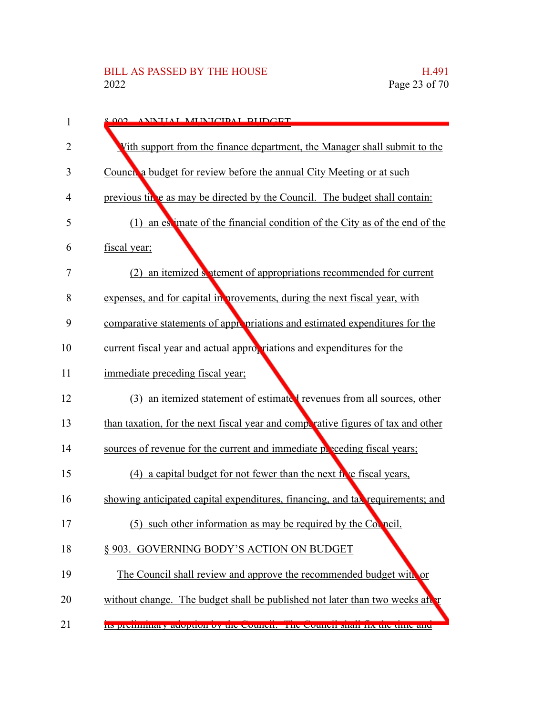| 1              | 8.002 ANNILAL MUNICIDAL RUDGET                                                   |
|----------------|----------------------------------------------------------------------------------|
| 2              | Vith support from the finance department, the Manager shall submit to the        |
| 3              | Council a budget for review before the annual City Meeting or at such            |
| $\overline{4}$ | previous time as may be directed by the Council. The budget shall contain:       |
| 5              | (1) an estimate of the financial condition of the City as of the end of the      |
| 6              | fiscal year;                                                                     |
| $\overline{7}$ | (2) an itemized septement of appropriations recommended for current              |
| 8              | expenses, and for capital in provements, during the next fiscal year, with       |
| 9              | comparative statements of appropriations and estimated expenditures for the      |
| 10             | current fiscal year and actual appropriations and expenditures for the           |
| 11             | immediate preceding fiscal year;                                                 |
| 12             | (3) an itemized statement of estimated revenues from all sources, other          |
| 13             | than taxation, for the next fiscal year and competative figures of tax and other |
| 14             | sources of revenue for the current and immediate preceding fiscal years;         |
| 15             | (4) a capital budget for not fewer than the next fre fiscal years,               |
| 16             | showing anticipated capital expenditures, financing, and tax requirements; and   |
| 17             | (5) such other information as may be required by the Corneil.                    |
| 18             | § 903. GOVERNING BODY'S ACTION ON BUDGET                                         |
| 19             | The Council shall review and approve the recommended budget with or              |
| 20             | without change. The budget shall be published not later than two weeks after     |
| 21             | Its premimitary adoption by the council. The council shall ha the third and      |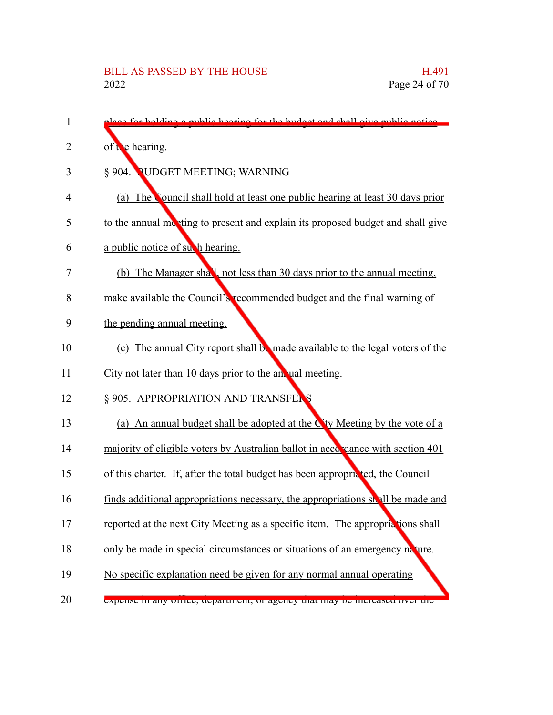| 1  | place for holding a mublic heaving for the budget and shall give public notice  |
|----|---------------------------------------------------------------------------------|
| 2  | of $\mathbf{t}$ e hearing.                                                      |
| 3  | § 904. PUDGET MEETING; WARNING                                                  |
| 4  | (a) The Council shall hold at least one public hearing at least 30 days prior   |
| 5  | to the annual meeting to present and explain its proposed budget and shall give |
| 6  | a public notice of such hearing.                                                |
| 7  | (b) The Manager shall, not less than 30 days prior to the annual meeting,       |
| 8  | make available the Council's recommended budget and the final warning of        |
| 9  | the pending annual meeting.                                                     |
| 10 | (c) The annual City report shall be made available to the legal voters of the   |
| 11 | City not later than 10 days prior to the an ual meeting.                        |
| 12 | § 905. APPROPRIATION AND TRANSFERS                                              |
| 13 | (a) An annual budget shall be adopted at the $C$ ty Meeting by the vote of a    |
| 14 | majority of eligible voters by Australian ballot in accordance with section 401 |
| 15 | of this charter. If, after the total budget has been appropricted, the Council  |
| 16 | finds additional appropriations necessary, the appropriations shall be made and |
| 17 | reported at the next City Meeting as a specific item. The appropriations shall  |
| 18 | only be made in special circumstances or situations of an emergency nature.     |
| 19 | No specific explanation need be given for any normal annual operating           |
| 20 | expense in any other, department, or agency mat may be increased over the       |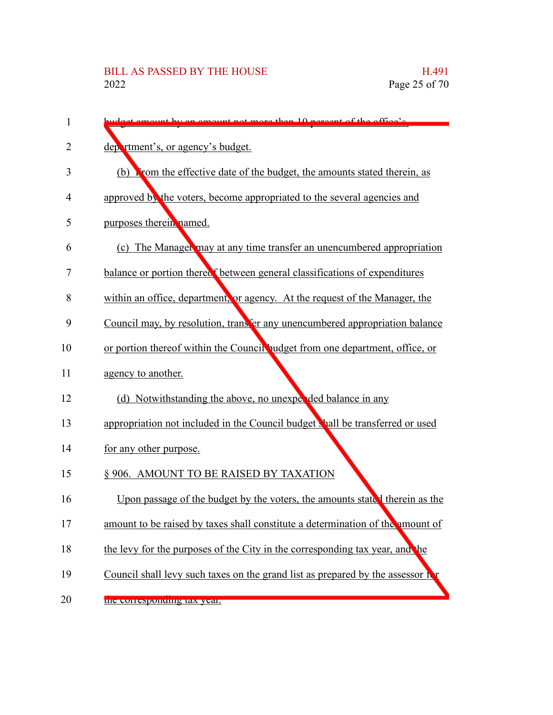| 1  | $10$ parcent of the office's                                                   |
|----|--------------------------------------------------------------------------------|
| 2  | department's, or agency's budget.                                              |
| 3  | (b) From the effective date of the budget, the amounts stated therein, as      |
| 4  | approved by the voters, become appropriated to the several agencies and        |
| 5  | purposes therein named.                                                        |
| 6  | (c) The Manager may at any time transfer an unencumbered appropriation         |
| 7  | balance or portion therect between general classifications of expenditures     |
| 8  | within an office, department, or agency. At the request of the Manager, the    |
| 9  | Council may, by resolution, transfer any unencumbered appropriation balance    |
| 10 | or portion thereof within the Council budget from one department, office, or   |
| 11 | agency to another.                                                             |
| 12 | (d) Notwithstanding the above, no unexpended balance in any                    |
| 13 | appropriation not included in the Council budget shall be transferred or used  |
| 14 | for any other purpose.                                                         |
| 15 | § 906. AMOUNT TO BE RAISED BY TAXATION                                         |
| 16 | Upon passage of the budget by the voters, the amounts stated therein as the    |
| 17 | amount to be raised by taxes shall constitute a determination of the amount of |
| 18 | the levy for the purposes of the City in the corresponding tax year, and the   |
| 19 | Council shall levy such taxes on the grand list as prepared by the assessor f  |
| 20 | the corresponding tax year.                                                    |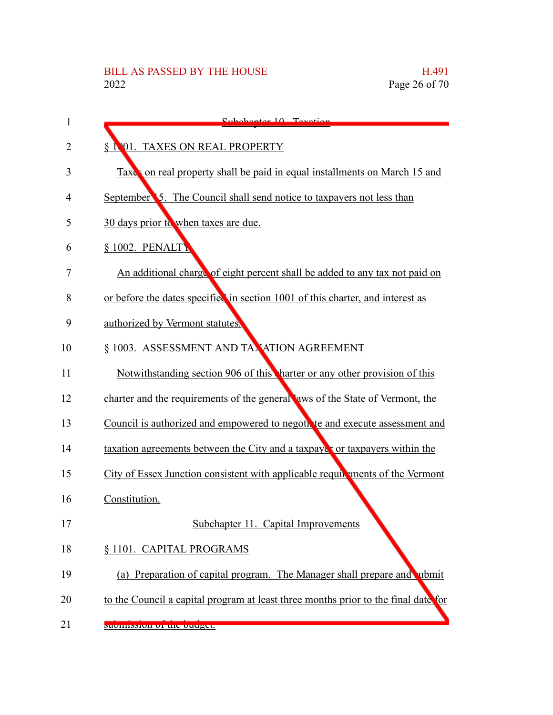| 1  | Subchaptor 10 Tovotion                                                             |
|----|------------------------------------------------------------------------------------|
| 2  | § 1001. TAXES ON REAL PROPERTY                                                     |
| 3  | Taxes on real property shall be paid in equal installments on March 15 and         |
| 4  | September 5. The Council shall send notice to taxpayers not less than              |
| 5  | 30 days prior to when taxes are due.                                               |
| 6  | § 1002. PENALTY                                                                    |
| 7  | An additional charge of eight percent shall be added to any tax not paid on        |
| 8  | or before the dates specified in section 1001 of this charter, and interest as     |
| 9  | authorized by Vermont statutes.                                                    |
| 10 | § 1003. ASSESSMENT AND TAXATION AGREEMENT                                          |
| 11 | Notwithstanding section 906 of this harter or any other provision of this          |
| 12 | charter and the requirements of the general aws of the State of Vermont, the       |
| 13 | Council is authorized and empowered to negotive and execute assessment and         |
| 14 | taxation agreements between the City and a taxpayer or taxpayers within the        |
| 15 | City of Essex Junction consistent with applicable requirements of the Vermont      |
| 16 | Constitution.                                                                      |
| 17 | Subchapter 11. Capital Improvements                                                |
| 18 | § 1101. CAPITAL PROGRAMS                                                           |
| 19 | (a) Preparation of capital program. The Manager shall prepare and ubmit            |
| 20 | to the Council a capital program at least three months prior to the final date for |
| 21 | submission or the budget.                                                          |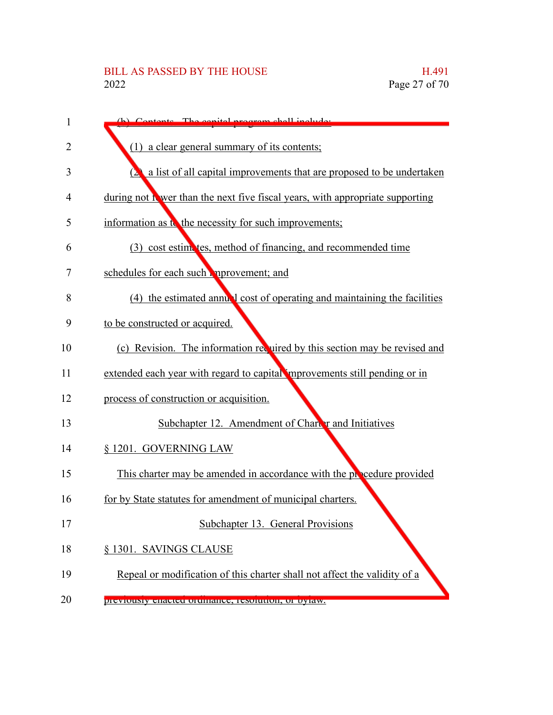| 1  | (b) Contente The conital program shall include                                 |
|----|--------------------------------------------------------------------------------|
| 2  | (1) a clear general summary of its contents;                                   |
| 3  | a list of all capital improvements that are proposed to be undertaken          |
| 4  | during not if wer than the next five fiscal years, with appropriate supporting |
| 5  | information as to the necessity for such improvements;                         |
| 6  | (3) cost estimates, method of financing, and recommended time                  |
| 7  | schedules for each such mprovement; and                                        |
| 8  | (4) the estimated annual cost of operating and maintaining the facilities      |
| 9  | to be constructed or acquired.                                                 |
| 10 | (c) Revision. The information required by this section may be revised and      |
| 11 | extended each year with regard to capital improvements still pending or in     |
| 12 | process of construction or acquisition.                                        |
| 13 | Subchapter 12. Amendment of Charter and Initiatives                            |
| 14 | § 1201. GOVERNING LAW                                                          |
| 15 | This charter may be amended in accordance with the procedure provided          |
| 16 | for by State statutes for amendment of municipal charters.                     |
| 17 | Subchapter 13. General Provisions                                              |
| 18 | § 1301. SAVINGS CLAUSE                                                         |
| 19 | Repeal or modification of this charter shall not affect the validity of a      |
| 20 | previously enacted ordinance, resolution, or bytaw.                            |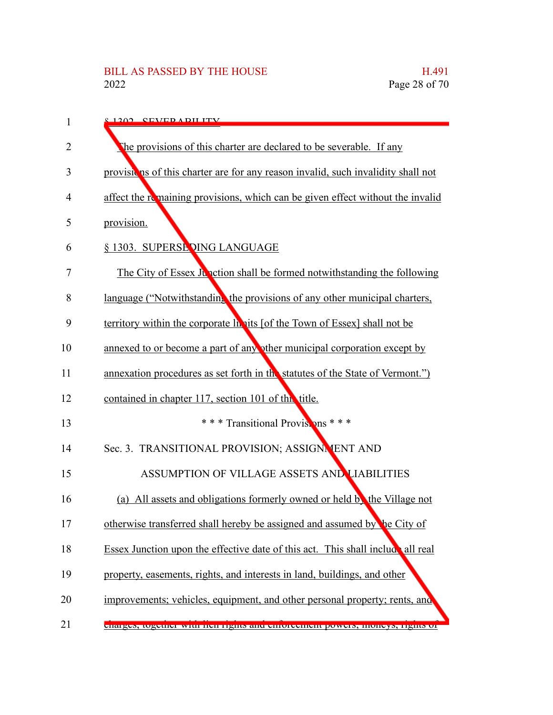| 1  | $\frac{1202}{120}$ CEVED A DILITY                                                |
|----|----------------------------------------------------------------------------------|
| 2  | The provisions of this charter are declared to be severable. If any              |
| 3  | provisions of this charter are for any reason invalid, such invalidity shall not |
| 4  | affect the remaining provisions, which can be given effect without the invalid   |
| 5  | provision.                                                                       |
| 6  | § 1303. SUPERSE DING LANGUAGE                                                    |
| 7  | The City of Essex Junction shall be formed notwithstanding the following         |
| 8  | language ("Notwithstanding the provisions of any other municipal charters,       |
| 9  | territory within the corporate la nits [of the Town of Essex] shall not be       |
| 10 | annexed to or become a part of any other municipal corporation except by         |
| 11 | annexation procedures as set forth in the statutes of the State of Vermont.")    |
| 12 | contained in chapter 117, section 101 of this title.                             |
| 13 | *** Transitional Provisions ***                                                  |
| 14 | Sec. 3. TRANSITIONAL PROVISION; ASSIGNMENT AND                                   |
| 15 | ASSUMPTION OF VILLAGE ASSETS AND LIABILITIES                                     |
| 16 | (a) All assets and obligations formerly owned or held by the Village not         |
| 17 | otherwise transferred shall hereby be assigned and assumed by the City of        |
| 18 | Essex Junction upon the effective date of this act. This shall include all real  |
| 19 | property, easements, rights, and interests in land, buildings, and other         |
| 20 | improvements; vehicles, equipment, and other personal property; rents, and       |
| 21 | лында, шдана мин нан нднь ана антальный ромах, шонеух, нднь от                   |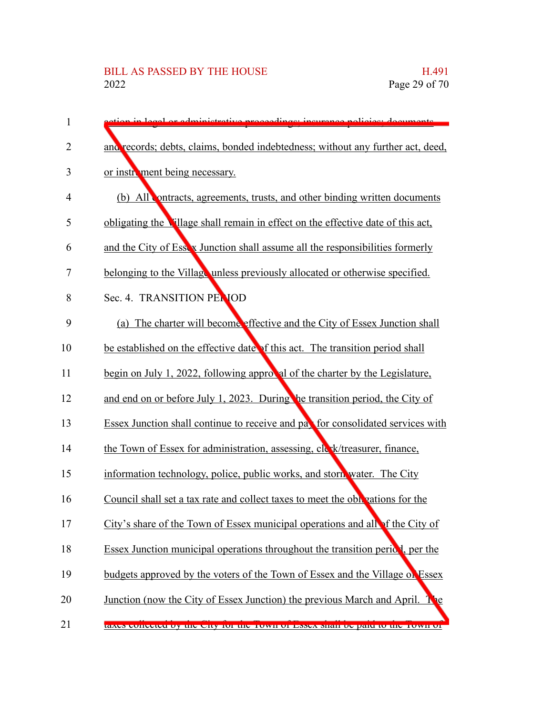| $\mathbf{1}$   | edministrative preceedings; incurance policies; decuments                            |
|----------------|--------------------------------------------------------------------------------------|
| 2              | and records; debts, claims, bonded indebtedness; without any further act, deed,      |
| 3              | or instrument being necessary.                                                       |
| $\overline{4}$ | (b) All ontracts, agreements, trusts, and other binding written documents            |
| 5              | obligating the Village shall remain in effect on the effective date of this act,     |
| 6              | and the City of Essex Junction shall assume all the responsibilities formerly        |
| $\overline{7}$ | belonging to the Village unless previously allocated or otherwise specified.         |
| 8              | Sec. 4. TRANSITION PENIOD                                                            |
| 9              | The charter will become effective and the City of Essex Junction shall<br>(a)        |
| 10             | be established on the effective date of this act. The transition period shall        |
| 11             | begin on July 1, 2022, following approval of the charter by the Legislature,         |
| 12             | and end on or before July 1, 2023. During the transition period, the City of         |
| 13             | Essex Junction shall continue to receive and pay for consolidated services with      |
| 14             | the Town of Essex for administration, assessing, cle k/treasurer, finance,           |
| 15             | information technology, police, public works, and storn water. The City              |
| 16             | Council shall set a tax rate and collect taxes to meet the obligations for the       |
| 17             | City's share of the Town of Essex municipal operations and all of the City of        |
| 18             | Essex Junction municipal operations throughout the transition period, per the        |
| 19             | budgets approved by the voters of the Town of Essex and the Village of Essex         |
| 20             | Junction (now the City of Essex Junction) the previous March and April.<br><b>Ne</b> |
| 21             | taxes concetted by the City for the TOWN of Essex share be paid to the TOWN of       |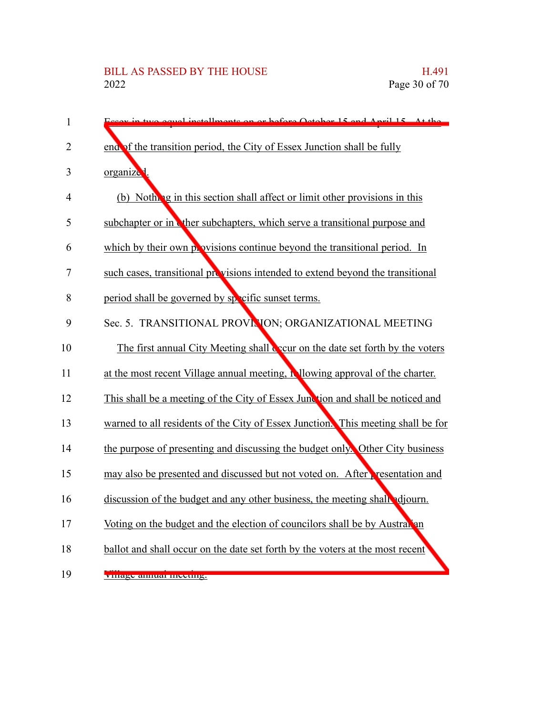| $\mathbf{1}$   | two equal installments on or before October 15 and April 15 At the               |
|----------------|----------------------------------------------------------------------------------|
| $\overline{2}$ | end of the transition period, the City of Essex Junction shall be fully          |
| 3              | organize <sup>1</sup> .                                                          |
| $\overline{4}$ | (b) Nothing in this section shall affect or limit other provisions in this       |
| 5              | subchapter or in the subchapters, which serve a transitional purpose and         |
| 6              | which by their own provisions continue beyond the transitional period. In        |
| 7              | such cases, transitional provisions intended to extend beyond the transitional   |
| 8              | period shall be governed by specific sunset terms.                               |
| 9              | Sec. 5. TRANSITIONAL PROVINION; ORGANIZATIONAL MEETING                           |
| 10             | The first annual City Meeting shall cover on the date set forth by the voters    |
| 11             | at the most recent Village annual meeting, in lowing approval of the charter.    |
| 12             | This shall be a meeting of the City of Essex Junction and shall be noticed and   |
| 13             | warned to all residents of the City of Essex Junction. This meeting shall be for |
| 14             | the purpose of presenting and discussing the budget only. Other City business    |
| 15             | may also be presented and discussed but not voted on. After resentation and      |
| 16             | discussion of the budget and any other business, the meeting shall adjourn.      |
| 17             | Voting on the budget and the election of councilors shall be by Australian       |
| 18             | ballot and shall occur on the date set forth by the voters at the most recent    |
| 19             | <u> үниде ашки шесшд.</u>                                                        |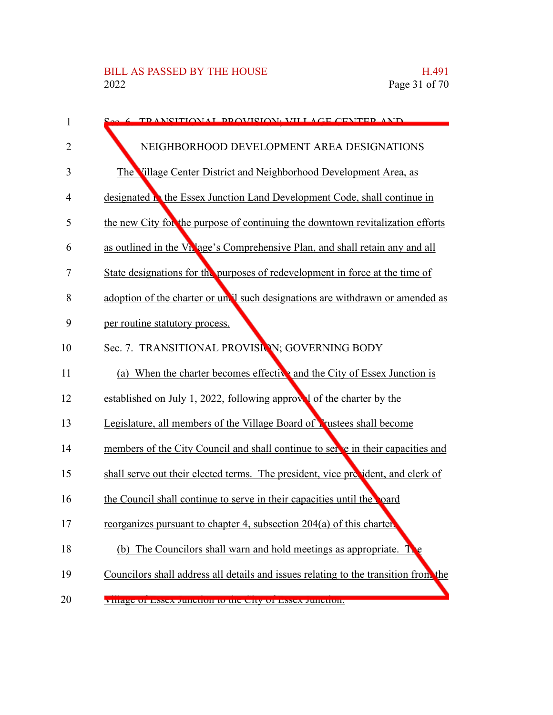| 1      | <b>6 TD ANSITIONAL DROVISION. VILLAGE CENTER AND</b>                                      |
|--------|-------------------------------------------------------------------------------------------|
| 2      | NEIGHBORHOOD DEVELOPMENT AREA DESIGNATIONS                                                |
| 3      | The Village Center District and Neighborhood Development Area, as                         |
| 4      | designated <b>N</b> the Essex Junction Land Development Code, shall continue in           |
| 5      | the new City for the purpose of continuing the downtown revitalization efforts            |
| 6      | as outlined in the Vn <sup>1</sup> age's Comprehensive Plan, and shall retain any and all |
| $\tau$ | State designations for the purposes of redevelopment in force at the time of              |
| 8      | adoption of the charter or unall such designations are withdrawn or amended as            |
| 9      | per routine statutory process.                                                            |
| 10     | Sec. 7. TRANSITIONAL PROVISION; GOVERNING BODY                                            |
| 11     | (a) When the charter becomes effective and the City of Essex Junction is                  |
| 12     | established on July 1, 2022, following approve of the charter by the                      |
| 13     | Legislature, all members of the Village Board of Lustees shall become                     |
| 14     | members of the City Council and shall continue to set e in their capacities and           |
| 15     | shall serve out their elected terms. The president, vice precident, and clerk of          |
| 16     | the Council shall continue to serve in their capacities until the poard                   |
| 17     | reorganizes pursuant to chapter 4, subsection 204(a) of this charter.                     |
| 18     | (b) The Councilors shall warn and hold meetings as appropriate. T                         |
| 19     | Councilors shall address all details and issues relating to the transition from the       |
| 20     | VIHAGE OF ESSEX JUNCTION TO THE CITY OF ESSEX JUNCTION.                                   |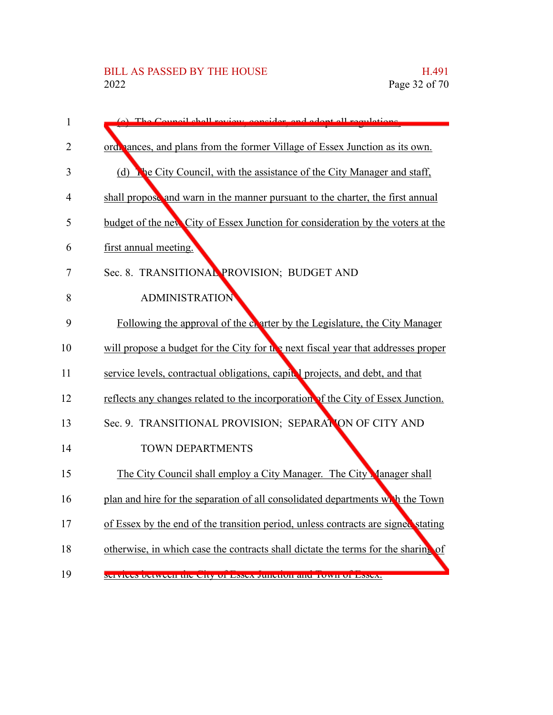| $\mathbf{1}$   | The Council shall review consider<br>and adont all                                |
|----------------|-----------------------------------------------------------------------------------|
| $\overline{2}$ | ord, ances, and plans from the former Village of Essex Junction as its own.       |
| 3              | (d) The City Council, with the assistance of the City Manager and staff,          |
| $\overline{4}$ | shall propose and warn in the manner pursuant to the charter, the first annual    |
| 5              | budget of the new City of Essex Junction for consideration by the voters at the   |
| 6              | first annual meeting.                                                             |
| 7              | Sec. 8. TRANSITIONAL PROVISION; BUDGET AND                                        |
| 8              | <b>ADMINISTRATION</b>                                                             |
| 9              | Following the approval of the eventer by the Legislature, the City Manager        |
| 10             | will propose a budget for the City for the next fiscal year that addresses proper |
| 11             | service levels, contractual obligations, capital projects, and debt, and that     |
| 12             | reflects any changes related to the incorporation of the City of Essex Junction.  |
| 13             | Sec. 9. TRANSITIONAL PROVISION; SEPARATION OF CITY AND                            |
| 14             | <b>TOWN DEPARTMENTS</b>                                                           |
| 15             | The City Council shall employ a City Manager. The City Manager shall              |
| 16             | plan and hire for the separation of all consolidated departments with the Town    |
| 17             | of Essex by the end of the transition period, unless contracts are signed stating |
| 18             | otherwise, in which case the contracts shall dictate the terms for the sharing of |
| 19             | SUIVICUS DUUWUUII UIU UILY OF ESSUA JUHUHOH AHU TOWH OF ESSUA.                    |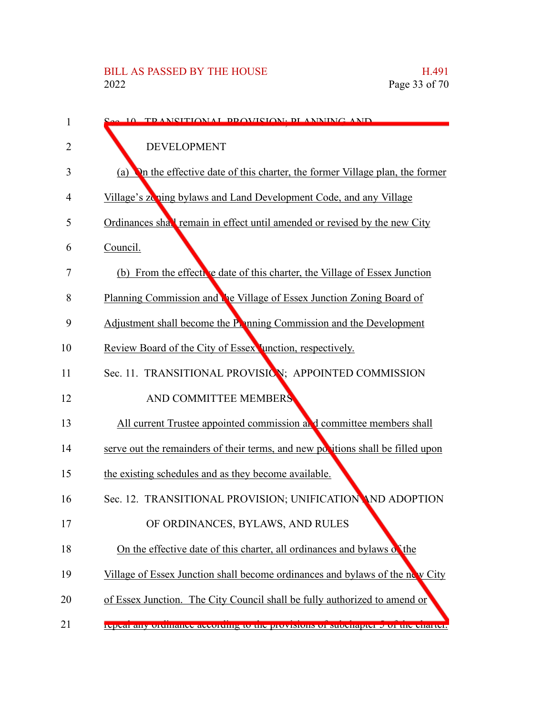| 1  | 10 TRANSITIONAL PROVISION. PLANNING AND                                           |
|----|-----------------------------------------------------------------------------------|
| 2  | <b>DEVELOPMENT</b>                                                                |
| 3  | On the effective date of this charter, the former Village plan, the former<br>(a) |
| 4  | Village's zoning bylaws and Land Development Code, and any Village                |
| 5  | Ordinances shall remain in effect until amended or revised by the new City        |
| 6  | Council.                                                                          |
| 7  | (b) From the effective date of this charter, the Village of Essex Junction        |
| 8  | Planning Commission and the Village of Essex Junction Zoning Board of             |
| 9  | Adjustment shall become the Panning Commission and the Development                |
| 10 | Review Board of the City of Essex Junction, respectively.                         |
| 11 | Sec. 11. TRANSITIONAL PROVISION; APPOINTED COMMISSION                             |
| 12 | AND COMMITTEE MEMBERS                                                             |
| 13 | All current Trustee appointed commission at d committee members shall             |
| 14 | serve out the remainders of their terms, and new positions shall be filled upon   |
| 15 | the existing schedules and as they become available.                              |
| 16 | Sec. 12. TRANSITIONAL PROVISION; UNIFICATION AND ADOPTION                         |
| 17 | OF ORDINANCES, BYLAWS, AND RULES                                                  |
| 18 | On the effective date of this charter, all ordinances and bylaws of the           |
| 19 | Village of Essex Junction shall become ordinances and bylaws of the new City      |
| 20 | of Essex Junction. The City Council shall be fully authorized to amend or         |
| 21 | repear any oruntance according to the provisions or subchapter 5 or the charter.  |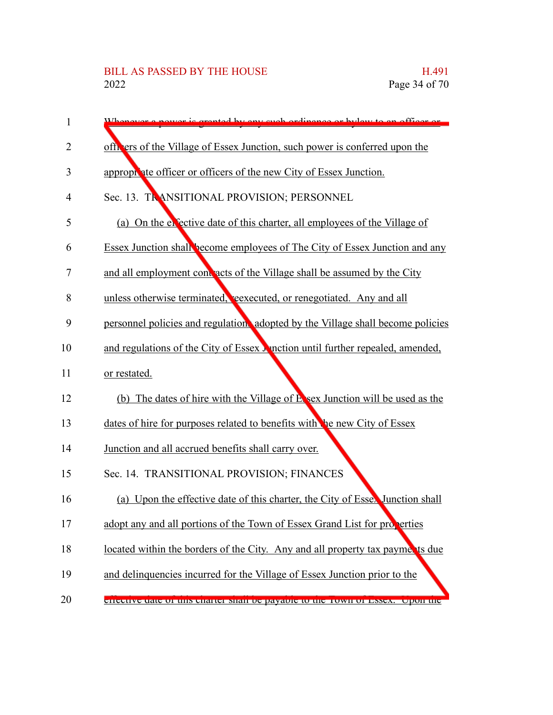| 1  | rented by any such ordinance or by low to an officer or                               |
|----|---------------------------------------------------------------------------------------|
| 2  | officers of the Village of Essex Junction, such power is conferred upon the           |
| 3  | appropriate officer or officers of the new City of Essex Junction.                    |
| 4  | Sec. 13. TRANSITIONAL PROVISION; PERSONNEL                                            |
| 5  | (a) On the elective date of this charter, all employees of the Village of             |
| 6  | Essex Junction shall become employees of The City of Essex Junction and any           |
| 7  | and all employment contracts of the Village shall be assumed by the City              |
| 8  | unless otherwise terminated, reexecuted, or renegotiated. Any and all                 |
| 9  | personnel policies and regulation, adopted by the Village shall become policies       |
| 10 | and regulations of the City of Essex <b>M</b> notion until further repealed, amended, |
| 11 | or restated.                                                                          |
| 12 | (b) The dates of hire with the Village of E sex Junction will be used as the          |
| 13 | dates of hire for purposes related to benefits with the new City of Essex             |
| 14 | Junction and all accrued benefits shall carry over.                                   |
| 15 | Sec. 14. TRANSITIONAL PROVISION; FINANCES                                             |
| 16 | (a) Upon the effective date of this charter, the City of Essex Junction shall         |
| 17 | adopt any and all portions of the Town of Essex Grand List for properties             |
| 18 | located within the borders of the City. Any and all property tax payments due         |
| 19 | and delinquencies incurred for the Village of Essex Junction prior to the             |
| 20 | enecuve tate of this charter shall be payable to the TOWIFOI ESSEA. Upon the          |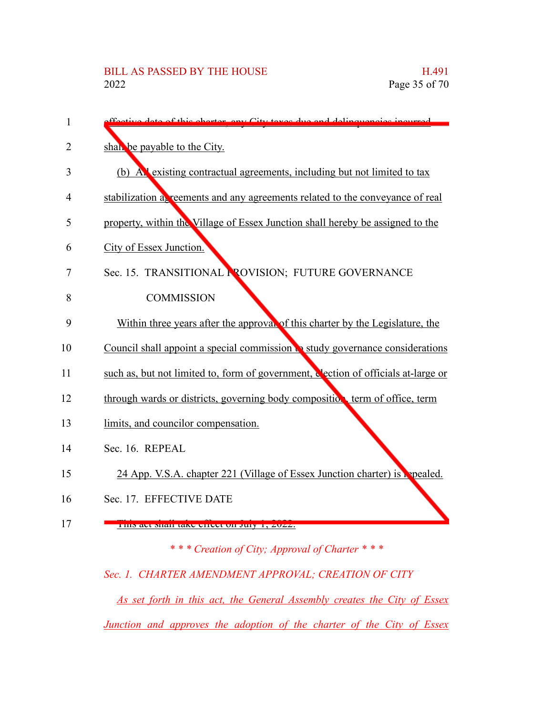| $\mathbf{1}$ | date of this charter, any City taxes due and delinguancies incurred                |
|--------------|------------------------------------------------------------------------------------|
| 2            | shall be payable to the City.                                                      |
|              |                                                                                    |
| 3            | (b) All existing contractual agreements, including but not limited to tax          |
| 4            | stabilization as reements and any agreements related to the conveyance of real     |
| 5            | property, within the Village of Essex Junction shall hereby be assigned to the     |
| 6            | City of Essex Junction.                                                            |
| 7            | Sec. 15. TRANSITIONAL PROVISION; FUTURE GOVERNANCE                                 |
| 8            | <b>COMMISSION</b>                                                                  |
| 9            | Within three years after the approval of this charter by the Legislature, the      |
| 10           | Council shall appoint a special commission to study governance considerations      |
| 11           | such as, but not limited to, form of government, election of officials at-large or |
| 12           | through wards or districts, governing body composition term of office, term        |
| 13           | limits, and councilor compensation.                                                |
| 14           | Sec. 16. REPEAL                                                                    |
| 15           | 24 App. V.S.A. chapter 221 (Village of Essex Junction charter) is repealed.        |
| 16           | Sec. 17. EFFECTIVE DATE                                                            |
| 17           | THIS are shall take effect on July 1, $2022$ .                                     |
|              | *** Creation of City; Approval of Charter ***                                      |

## *Sec. 1. CHARTER AMENDMENT APPROVAL; CREATION OF CITY*

*As set forth in this act, the General Assembly creates the City of Essex Junction and approves the adoption of the charter of the City of Essex*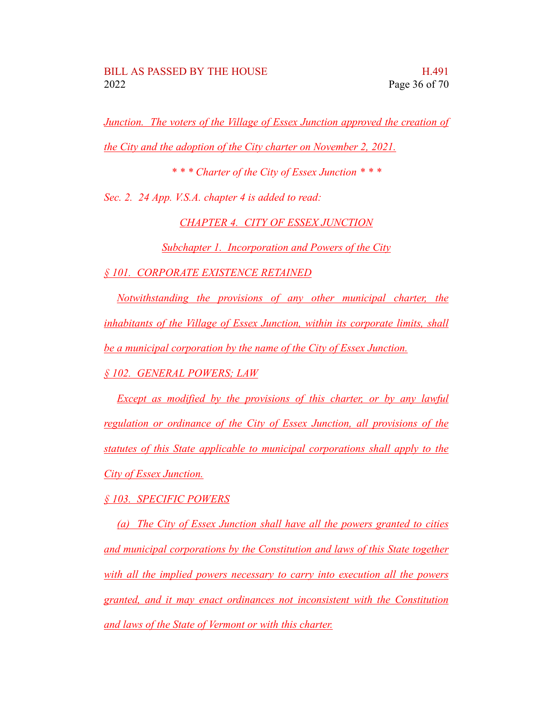*Junction. The voters of the Village of Essex Junction approved the creation of the City and the adoption of the City charter on November 2, 2021.*

*\* \* \* Charter of the City of Essex Junction \* \* \**

*Sec. 2. 24 App. V.S.A. chapter 4 is added to read:*

*CHAPTER 4. CITY OF ESSEX JUNCTION*

*Subchapter 1. Incorporation and Powers of the City*

*§ 101. CORPORATE EXISTENCE RETAINED*

*Notwithstanding the provisions of any other municipal charter, the inhabitants of the Village of Essex Junction, within its corporate limits, shall be a municipal corporation by the name of the City of Essex Junction.*

*§ 102. GENERAL POWERS; LAW*

*Except as modified by the provisions of this charter, or by any lawful regulation or ordinance of the City of Essex Junction, all provisions of the statutes of this State applicable to municipal corporations shall apply to the City of Essex Junction.*

*§ 103. SPECIFIC POWERS*

*(a) The City of Essex Junction shall have all the powers granted to cities and municipal corporations by the Constitution and laws of this State together with all the implied powers necessary to carry into execution all the powers granted, and it may enact ordinances not inconsistent with the Constitution and laws of the State of Vermont or with this charter.*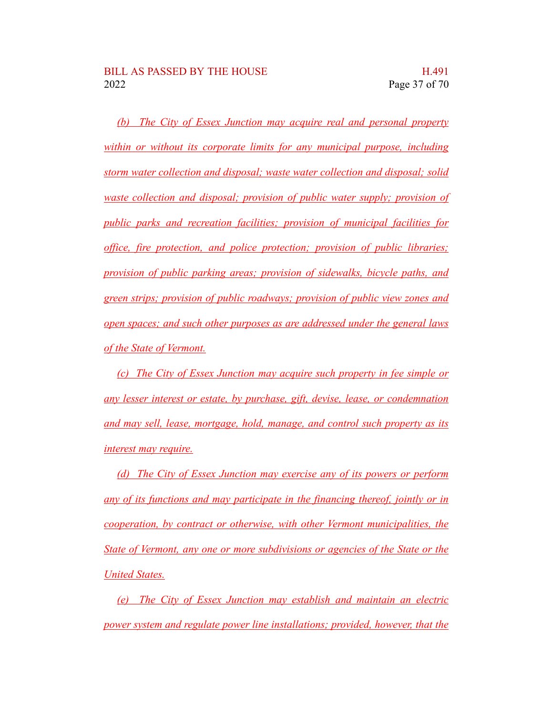*(b) The City of Essex Junction may acquire real and personal property within or without its corporate limits for any municipal purpose, including storm water collection and disposal; waste water collection and disposal; solid waste collection and disposal; provision of public water supply; provision of public parks and recreation facilities; provision of municipal facilities for office, fire protection, and police protection; provision of public libraries; provision of public parking areas; provision of sidewalks, bicycle paths, and green strips; provision of public roadways; provision of public view zones and open spaces; and such other purposes as are addressed under the general laws of the State of Vermont.*

*(c) The City of Essex Junction may acquire such property in fee simple or any lesser interest or estate, by purchase, gift, devise, lease, or condemnation and may sell, lease, mortgage, hold, manage, and control such property as its interest may require.*

*(d) The City of Essex Junction may exercise any of its powers or perform any of its functions and may participate in the financing thereof, jointly or in cooperation, by contract or otherwise, with other Vermont municipalities, the State of Vermont, any one or more subdivisions or agencies of the State or the United States.*

*(e) The City of Essex Junction may establish and maintain an electric power system and regulate power line installations; provided, however, that the*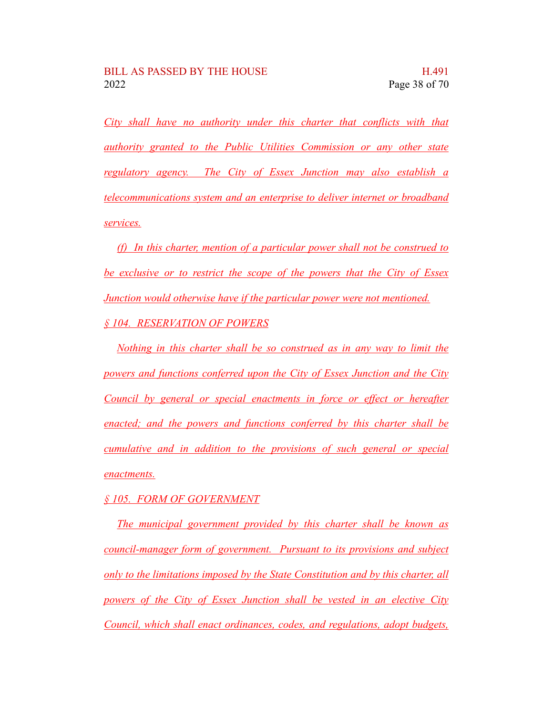*City shall have no authority under this charter that conflicts with that authority granted to the Public Utilities Commission or any other state regulatory agency. The City of Essex Junction may also establish a telecommunications system and an enterprise to deliver internet or broadband services.*

*(f) In this charter, mention of a particular power shall not be construed to be exclusive or to restrict the scope of the powers that the City of Essex Junction would otherwise have if the particular power were not mentioned. § 104. RESERVATION OF POWERS*

*Nothing in this charter shall be so construed as in any way to limit the powers and functions conferred upon the City of Essex Junction and the City Council by general or special enactments in force or effect or hereafter enacted; and the powers and functions conferred by this charter shall be cumulative and in addition to the provisions of such general or special enactments.*

*§ 105. FORM OF GOVERNMENT*

*The municipal government provided by this charter shall be known as council-manager form of government. Pursuant to its provisions and subject only to the limitations imposed by the State Constitution and by this charter, all powers of the City of Essex Junction shall be vested in an elective City Council, which shall enact ordinances, codes, and regulations, adopt budgets,*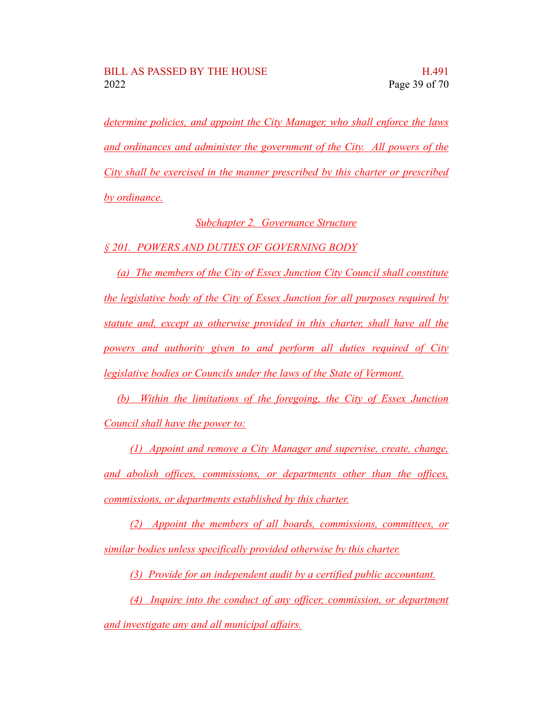*determine policies, and appoint the City Manager, who shall enforce the laws and ordinances and administer the government of the City. All powers of the City shall be exercised in the manner prescribed by this charter or prescribed by ordinance.*

*Subchapter 2. Governance Structure*

*§ 201. POWERS AND DUTIES OF GOVERNING BODY*

*(a) The members of the City of Essex Junction City Council shall constitute the legislative body of the City of Essex Junction for all purposes required by statute and, except as otherwise provided in this charter, shall have all the powers and authority given to and perform all duties required of City legislative bodies or Councils under the laws of the State of Vermont.*

*(b) Within the limitations of the foregoing, the City of Essex Junction Council shall have the power to:*

*(1) Appoint and remove a City Manager and supervise, create, change, and abolish offices, commissions, or departments other than the offices, commissions, or departments established by this charter.*

*(2) Appoint the members of all boards, commissions, committees, or similar bodies unless specifically provided otherwise by this charter.*

*(3) Provide for an independent audit by a certified public accountant.*

*(4) Inquire into the conduct of any officer, commission, or department and investigate any and all municipal affairs.*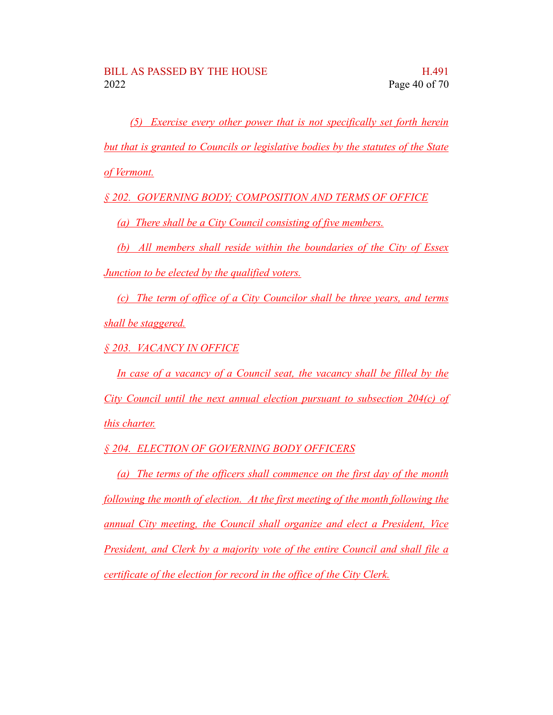*(5) Exercise every other power that is not specifically set forth herein but that is granted to Councils or legislative bodies by the statutes of the State of Vermont.*

*§ 202. GOVERNING BODY; COMPOSITION AND TERMS OF OFFICE*

*(a) There shall be a City Council consisting of five members.*

*(b) All members shall reside within the boundaries of the City of Essex Junction to be elected by the qualified voters.*

*(c) The term of office of a City Councilor shall be three years, and terms shall be staggered.*

*§ 203. VACANCY IN OFFICE*

*In case of a vacancy of a Council seat, the vacancy shall be filled by the City Council until the next annual election pursuant to subsection 204(c) of this charter.*

*§ 204. ELECTION OF GOVERNING BODY OFFICERS*

*(a) The terms of the officers shall commence on the first day of the month following the month of election. At the first meeting of the month following the annual City meeting, the Council shall organize and elect a President, Vice President, and Clerk by a majority vote of the entire Council and shall file a certificate of the election for record in the office of the City Clerk.*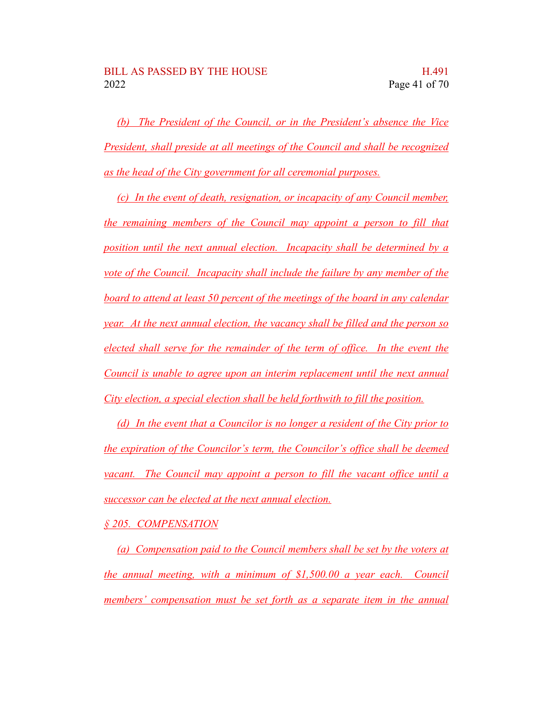*(b) The President of the Council, or in the President's absence the Vice President, shall preside at all meetings of the Council and shall be recognized as the head of the City government for all ceremonial purposes.*

*(c) In the event of death, resignation, or incapacity of any Council member, the remaining members of the Council may appoint a person to fill that position until the next annual election. Incapacity shall be determined by a vote of the Council. Incapacity shall include the failure by any member of the board to attend at least 50 percent of the meetings of the board in any calendar year. At the next annual election, the vacancy shall be filled and the person so elected shall serve for the remainder of the term of office. In the event the Council is unable to agree upon an interim replacement until the next annual City election, a special election shall be held forthwith to fill the position.*

*(d) In the event that a Councilor is no longer a resident of the City prior to the expiration of the Councilor's term, the Councilor's office shall be deemed vacant. The Council may appoint a person to fill the vacant office until a successor can be elected at the next annual election.*

*§ 205. COMPENSATION*

*(a) Compensation paid to the Council members shall be set by the voters at the annual meeting, with a minimum of \$1,500.00 a year each. Council members' compensation must be set forth as a separate item in the annual*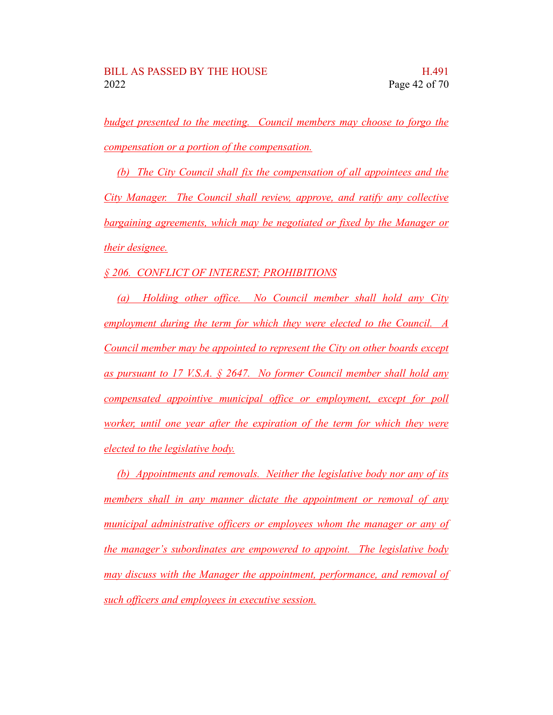*budget presented to the meeting. Council members may choose to forgo the compensation or a portion of the compensation.*

*(b) The City Council shall fix the compensation of all appointees and the City Manager. The Council shall review, approve, and ratify any collective bargaining agreements, which may be negotiated or fixed by the Manager or their designee.*

*§ 206. CONFLICT OF INTEREST; PROHIBITIONS*

*(a) Holding other office. No Council member shall hold any City employment during the term for which they were elected to the Council. A Council member may be appointed to represent the City on other boards except as pursuant to 17 V.S.A. § 2647. No former Council member shall hold any compensated appointive municipal office or employment, except for poll worker, until one year after the expiration of the term for which they were elected to the legislative body.*

*(b) Appointments and removals. Neither the legislative body nor any of its members shall in any manner dictate the appointment or removal of any municipal administrative officers or employees whom the manager or any of the manager's subordinates are empowered to appoint. The legislative body may discuss with the Manager the appointment, performance, and removal of such officers and employees in executive session.*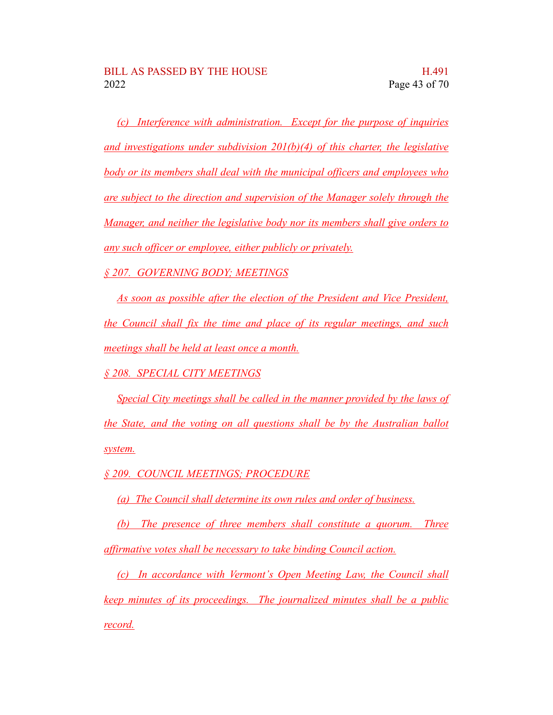*(c) Interference with administration. Except for the purpose of inquiries and investigations under subdivision 201(b)(4) of this charter, the legislative body or its members shall deal with the municipal officers and employees who are subject to the direction and supervision of the Manager solely through the Manager, and neither the legislative body nor its members shall give orders to any such officer or employee, either publicly or privately.*

*§ 207. GOVERNING BODY; MEETINGS*

*As soon as possible after the election of the President and Vice President, the Council shall fix the time and place of its regular meetings, and such meetings shall be held at least once a month.*

*§ 208. SPECIAL CITY MEETINGS*

*Special City meetings shall be called in the manner provided by the laws of the State, and the voting on all questions shall be by the Australian ballot system.*

*§ 209. COUNCIL MEETINGS; PROCEDURE*

*(a) The Council shall determine its own rules and order of business.*

*(b) The presence of three members shall constitute a quorum. Three affirmative votes shall be necessary to take binding Council action.*

*(c) In accordance with Vermont's Open Meeting Law, the Council shall keep minutes of its proceedings. The journalized minutes shall be a public record.*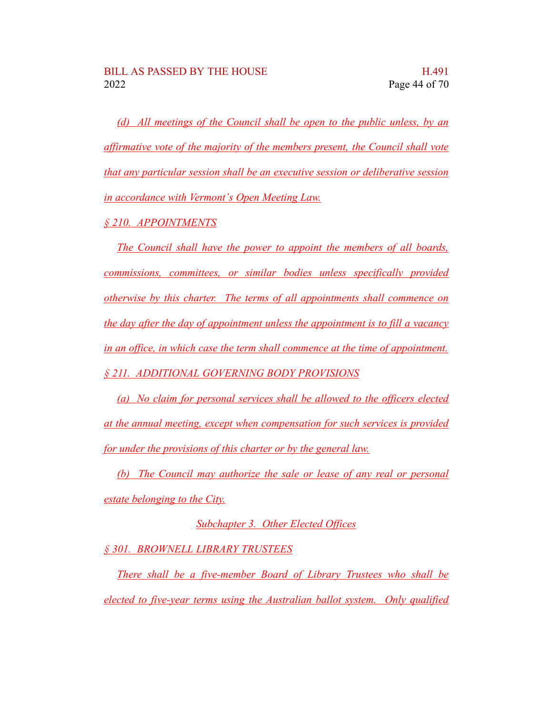*(d) All meetings of the Council shall be open to the public unless, by an affirmative vote of the majority of the members present, the Council shall vote that any particular session shall be an executive session or deliberative session in accordance with Vermont's Open Meeting Law.*

*§ 210. APPOINTMENTS*

*The Council shall have the power to appoint the members of all boards, commissions, committees, or similar bodies unless specifically provided otherwise by this charter. The terms of all appointments shall commence on the day after the day of appointment unless the appointment is to fill a vacancy in an office, in which case the term shall commence at the time of appointment. § 211. ADDITIONAL GOVERNING BODY PROVISIONS*

*(a) No claim for personal services shall be allowed to the officers elected at the annual meeting, except when compensation for such services is provided for under the provisions of this charter or by the general law.*

*(b) The Council may authorize the sale or lease of any real or personal estate belonging to the City.*

*Subchapter 3. Other Elected Offices*

*§ 301. BROWNELL LIBRARY TRUSTEES*

*There shall be a five-member Board of Library Trustees who shall be elected to five-year terms using the Australian ballot system. Only qualified*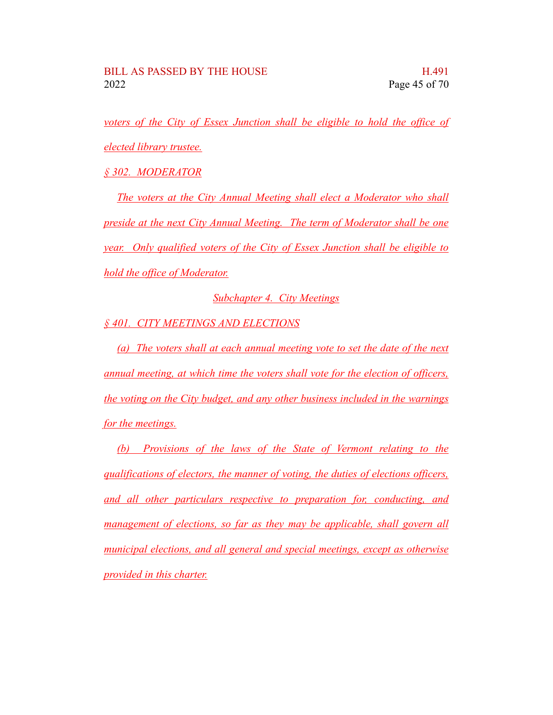*voters of the City of Essex Junction shall be eligible to hold the office of elected library trustee.*

*§ 302. MODERATOR*

*The voters at the City Annual Meeting shall elect a Moderator who shall preside at the next City Annual Meeting. The term of Moderator shall be one year. Only qualified voters of the City of Essex Junction shall be eligible to hold the office of Moderator.*

*Subchapter 4. City Meetings*

*§ 401. CITY MEETINGS AND ELECTIONS*

*(a) The voters shall at each annual meeting vote to set the date of the next annual meeting, at which time the voters shall vote for the election of officers, the voting on the City budget, and any other business included in the warnings for the meetings.*

*(b) Provisions of the laws of the State of Vermont relating to the qualifications of electors, the manner of voting, the duties of elections officers, and all other particulars respective to preparation for, conducting, and management of elections, so far as they may be applicable, shall govern all municipal elections, and all general and special meetings, except as otherwise provided in this charter.*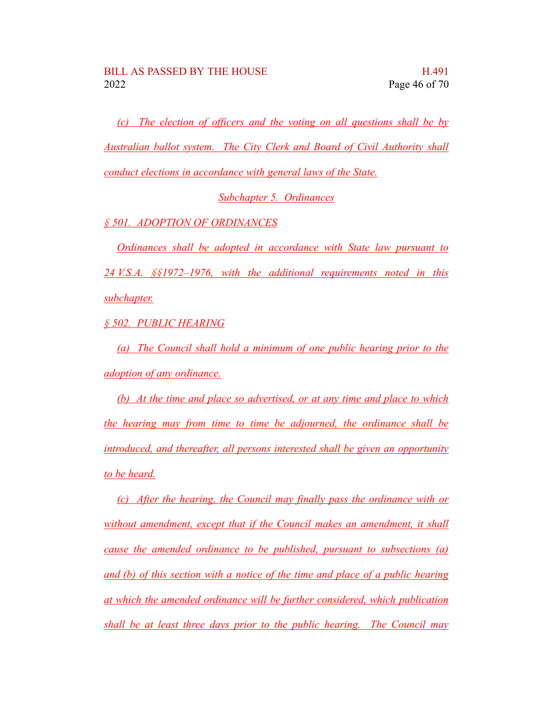*(c) The election of officers and the voting on all questions shall be by Australian ballot system. The City Clerk and Board of Civil Authority shall conduct elections in accordance with general laws of the State.*

*Subchapter 5. Ordinances*

*§ 501. ADOPTION OF ORDINANCES*

*Ordinances shall be adopted in accordance with State law pursuant to 24 V.S.A. §§1972–1976, with the additional requirements noted in this subchapter.*

*§ 502. PUBLIC HEARING*

*(a) The Council shall hold a minimum of one public hearing prior to the adoption of any ordinance.*

*(b) At the time and place so advertised, or at any time and place to which the hearing may from time to time be adjourned, the ordinance shall be introduced, and thereafter, all persons interested shall be given an opportunity to be heard.*

*(c) After the hearing, the Council may finally pass the ordinance with or without amendment, except that if the Council makes an amendment, it shall cause the amended ordinance to be published, pursuant to subsections (a) and (b) of this section with a notice of the time and place of a public hearing at which the amended ordinance will be further considered, which publication shall be at least three days prior to the public hearing. The Council may*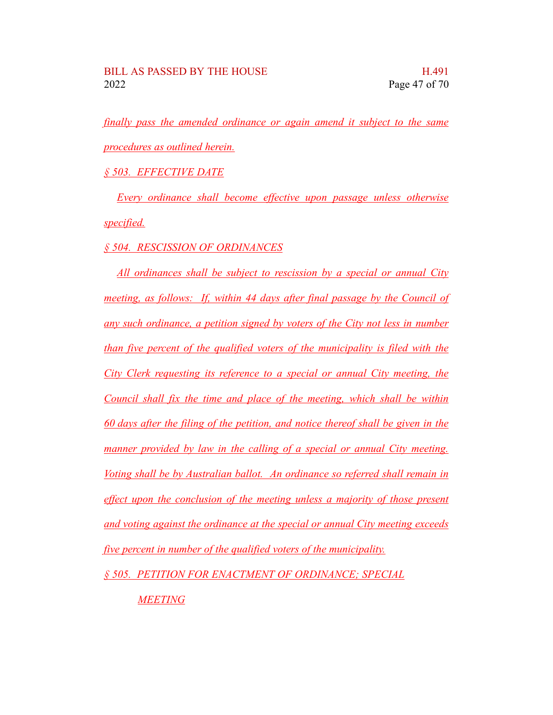*finally pass the amended ordinance or again amend it subject to the same procedures as outlined herein.*

*§ 503. EFFECTIVE DATE*

*Every ordinance shall become effective upon passage unless otherwise specified.*

*§ 504. RESCISSION OF ORDINANCES*

*All ordinances shall be subject to rescission by a special or annual City meeting, as follows: If, within 44 days after final passage by the Council of any such ordinance, a petition signed by voters of the City not less in number than five percent of the qualified voters of the municipality is filed with the City Clerk requesting its reference to a special or annual City meeting, the Council shall fix the time and place of the meeting, which shall be within 60 days after the filing of the petition, and notice thereof shall be given in the manner provided by law in the calling of a special or annual City meeting. Voting shall be by Australian ballot. An ordinance so referred shall remain in effect upon the conclusion of the meeting unless a majority of those present and voting against the ordinance at the special or annual City meeting exceeds five percent in number of the qualified voters of the municipality.*

*§ 505. PETITION FOR ENACTMENT OF ORDINANCE; SPECIAL*

*MEETING*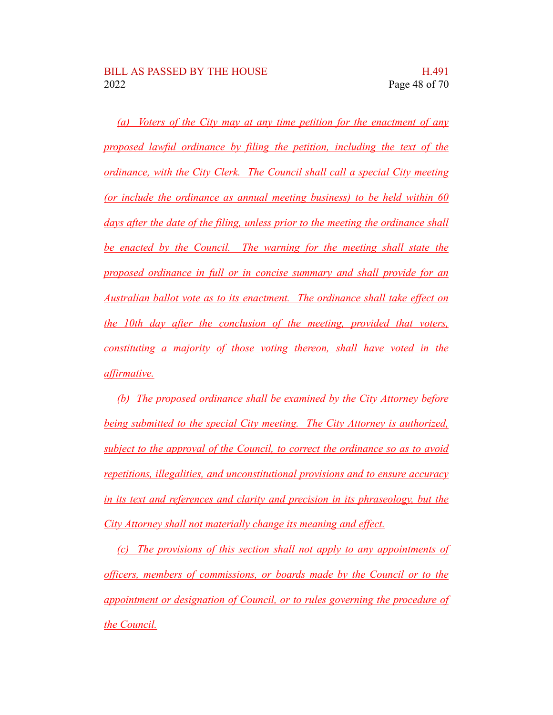*(a) Voters of the City may at any time petition for the enactment of any proposed lawful ordinance by filing the petition, including the text of the ordinance, with the City Clerk. The Council shall call a special City meeting (or include the ordinance as annual meeting business) to be held within 60 days after the date of the filing, unless prior to the meeting the ordinance shall be enacted by the Council. The warning for the meeting shall state the proposed ordinance in full or in concise summary and shall provide for an Australian ballot vote as to its enactment. The ordinance shall take effect on the 10th day after the conclusion of the meeting, provided that voters, constituting a majority of those voting thereon, shall have voted in the affirmative.*

*(b) The proposed ordinance shall be examined by the City Attorney before being submitted to the special City meeting. The City Attorney is authorized, subject to the approval of the Council, to correct the ordinance so as to avoid repetitions, illegalities, and unconstitutional provisions and to ensure accuracy in its text and references and clarity and precision in its phraseology, but the City Attorney shall not materially change its meaning and effect.*

*(c) The provisions of this section shall not apply to any appointments of officers, members of commissions, or boards made by the Council or to the appointment or designation of Council, or to rules governing the procedure of the Council.*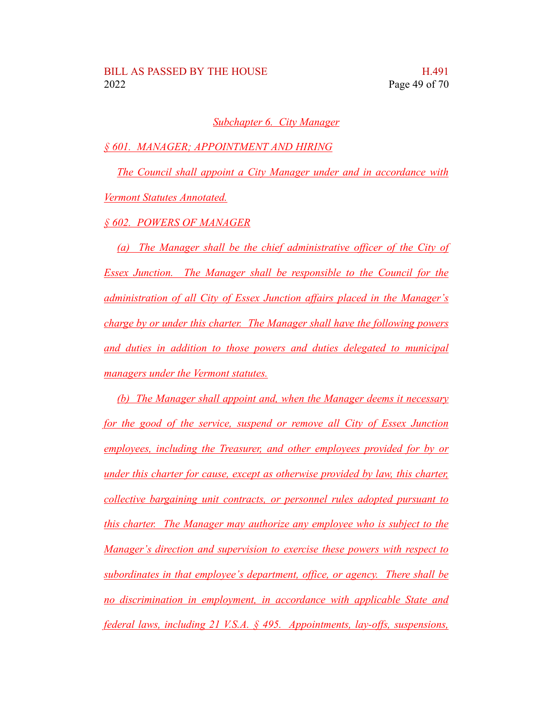#### *Subchapter 6. City Manager*

*§ 601. MANAGER; APPOINTMENT AND HIRING*

*The Council shall appoint a City Manager under and in accordance with Vermont Statutes Annotated.*

*§ 602. POWERS OF MANAGER*

*(a) The Manager shall be the chief administrative officer of the City of Essex Junction. The Manager shall be responsible to the Council for the administration of all City of Essex Junction affairs placed in the Manager's charge by or under this charter. The Manager shall have the following powers and duties in addition to those powers and duties delegated to municipal managers under the Vermont statutes.*

*(b) The Manager shall appoint and, when the Manager deems it necessary for the good of the service, suspend or remove all City of Essex Junction employees, including the Treasurer, and other employees provided for by or under this charter for cause, except as otherwise provided by law, this charter, collective bargaining unit contracts, or personnel rules adopted pursuant to this charter. The Manager may authorize any employee who is subject to the Manager's direction and supervision to exercise these powers with respect to subordinates in that employee's department, office, or agency. There shall be no discrimination in employment, in accordance with applicable State and federal laws, including 21 V.S.A. § 495. Appointments, lay-offs, suspensions,*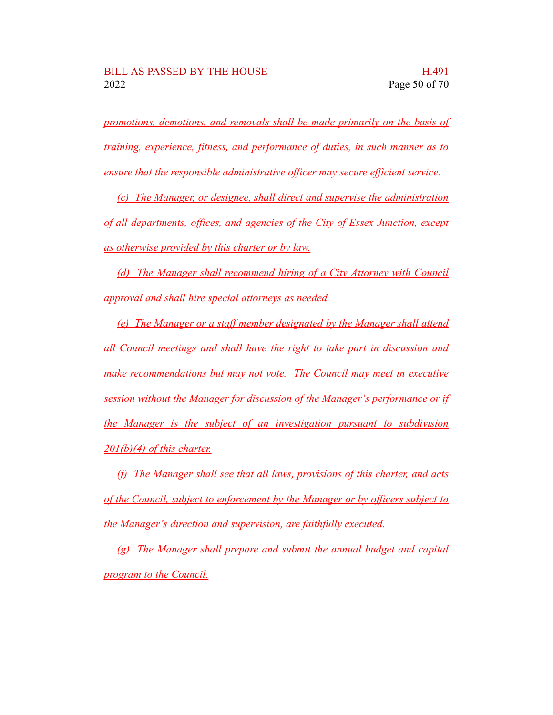*promotions, demotions, and removals shall be made primarily on the basis of training, experience, fitness, and performance of duties, in such manner as to ensure that the responsible administrative officer may secure efficient service.*

*(c) The Manager, or designee, shall direct and supervise the administration of all departments, offices, and agencies of the City of Essex Junction, except as otherwise provided by this charter or by law.*

*(d) The Manager shall recommend hiring of a City Attorney with Council approval and shall hire special attorneys as needed.*

*(e) The Manager or a staff member designated by the Manager shall attend all Council meetings and shall have the right to take part in discussion and make recommendations but may not vote. The Council may meet in executive session without the Manager for discussion of the Manager's performance or if the Manager is the subject of an investigation pursuant to subdivision 201(b)(4) of this charter.*

*(f) The Manager shall see that all laws, provisions of this charter, and acts of the Council, subject to enforcement by the Manager or by officers subject to the Manager's direction and supervision, are faithfully executed.*

*(g) The Manager shall prepare and submit the annual budget and capital program to the Council.*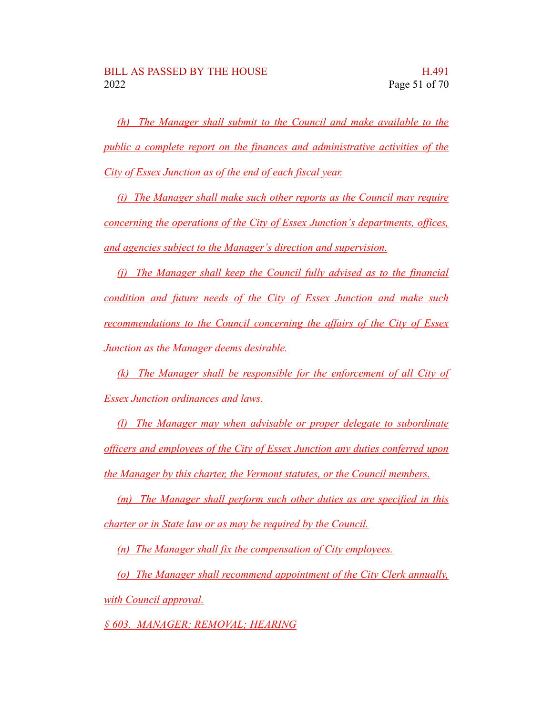*(h) The Manager shall submit to the Council and make available to the public a complete report on the finances and administrative activities of the City of Essex Junction as of the end of each fiscal year.*

*(i) The Manager shall make such other reports as the Council may require concerning the operations of the City of Essex Junction's departments, offices, and agencies subject to the Manager's direction and supervision.*

*(j) The Manager shall keep the Council fully advised as to the financial condition and future needs of the City of Essex Junction and make such recommendations to the Council concerning the affairs of the City of Essex Junction as the Manager deems desirable.*

*(k) The Manager shall be responsible for the enforcement of all City of Essex Junction ordinances and laws.*

*(l) The Manager may when advisable or proper delegate to subordinate officers and employees of the City of Essex Junction any duties conferred upon the Manager by this charter, the Vermont statutes, or the Council members.*

*(m) The Manager shall perform such other duties as are specified in this charter or in State law or as may be required by the Council.*

*(n) The Manager shall fix the compensation of City employees.*

*(o) The Manager shall recommend appointment of the City Clerk annually, with Council approval.*

*§ 603. MANAGER; REMOVAL; HEARING*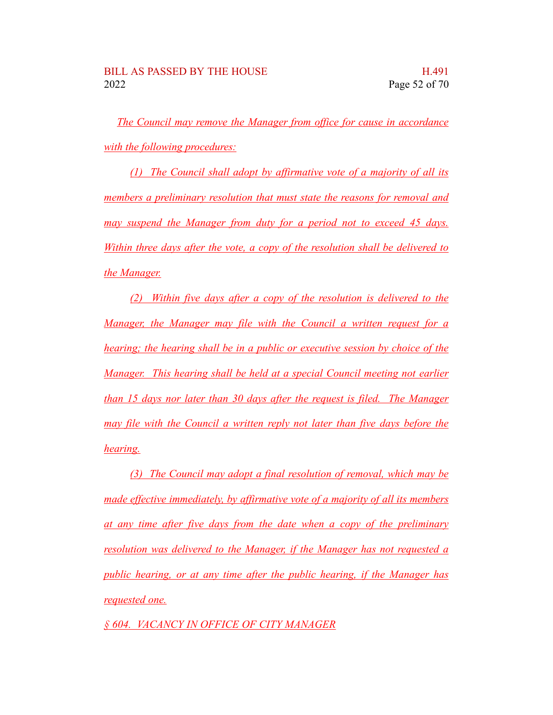*The Council may remove the Manager from office for cause in accordance with the following procedures:*

*(1) The Council shall adopt by affirmative vote of a majority of all its members a preliminary resolution that must state the reasons for removal and may suspend the Manager from duty for a period not to exceed 45 days. Within three days after the vote, a copy of the resolution shall be delivered to the Manager.*

*(2) Within five days after a copy of the resolution is delivered to the Manager, the Manager may file with the Council a written request for a hearing; the hearing shall be in a public or executive session by choice of the Manager. This hearing shall be held at a special Council meeting not earlier than 15 days nor later than 30 days after the request is filed. The Manager may file with the Council a written reply not later than five days before the hearing.*

*(3) The Council may adopt a final resolution of removal, which may be made effective immediately, by affirmative vote of a majority of all its members at any time after five days from the date when a copy of the preliminary resolution was delivered to the Manager, if the Manager has not requested a public hearing, or at any time after the public hearing, if the Manager has requested one.*

*§ 604. VACANCY IN OFFICE OF CITY MANAGER*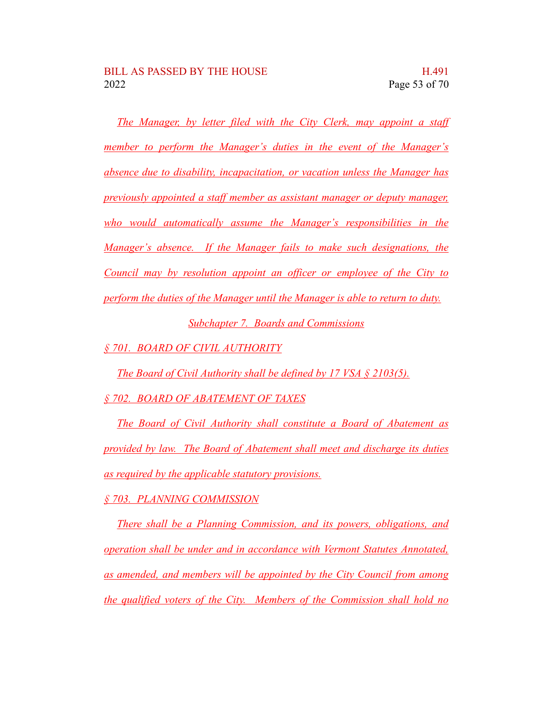*The Manager, by letter filed with the City Clerk, may appoint a staff member to perform the Manager's duties in the event of the Manager's absence due to disability, incapacitation, or vacation unless the Manager has previously appointed a staff member as assistant manager or deputy manager, who would automatically assume the Manager's responsibilities in the Manager's absence. If the Manager fails to make such designations, the Council may by resolution appoint an officer or employee of the City to perform the duties of the Manager until the Manager is able to return to duty. Subchapter 7. Boards and Commissions*

*§ 701. BOARD OF CIVIL AUTHORITY*

*The Board of Civil Authority shall be defined by 17 VSA § 2103(5).*

*§ 702. BOARD OF ABATEMENT OF TAXES*

*The Board of Civil Authority shall constitute a Board of Abatement as provided by law. The Board of Abatement shall meet and discharge its duties as required by the applicable statutory provisions.*

*§ 703. PLANNING COMMISSION*

*There shall be a Planning Commission, and its powers, obligations, and operation shall be under and in accordance with Vermont Statutes Annotated, as amended, and members will be appointed by the City Council from among the qualified voters of the City. Members of the Commission shall hold no*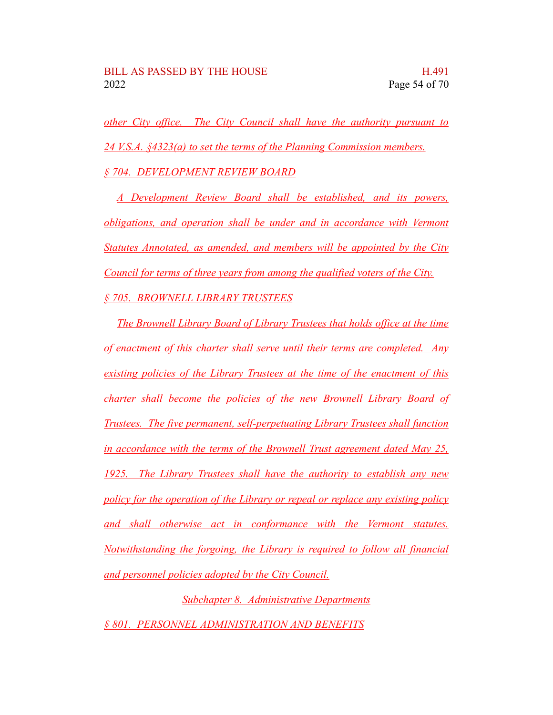*other City office. The City Council shall have the authority pursuant to 24 V.S.A. §4323(a) to set the terms of the Planning Commission members. § 704. DEVELOPMENT REVIEW BOARD*

*A Development Review Board shall be established, and its powers, obligations, and operation shall be under and in accordance with Vermont Statutes Annotated, as amended, and members will be appointed by the City Council for terms of three years from among the qualified voters of the City. § 705. BROWNELL LIBRARY TRUSTEES*

*The Brownell Library Board of Library Trustees that holds office at the time of enactment of this charter shall serve until their terms are completed. Any existing policies of the Library Trustees at the time of the enactment of this charter shall become the policies of the new Brownell Library Board of Trustees. The five permanent, self-perpetuating Library Trustees shall function in accordance with the terms of the Brownell Trust agreement dated May 25, 1925. The Library Trustees shall have the authority to establish any new policy for the operation of the Library or repeal or replace any existing policy and shall otherwise act in conformance with the Vermont statutes. Notwithstanding the forgoing, the Library is required to follow all financial and personnel policies adopted by the City Council.*

*Subchapter 8. Administrative Departments § 801. PERSONNEL ADMINISTRATION AND BENEFITS*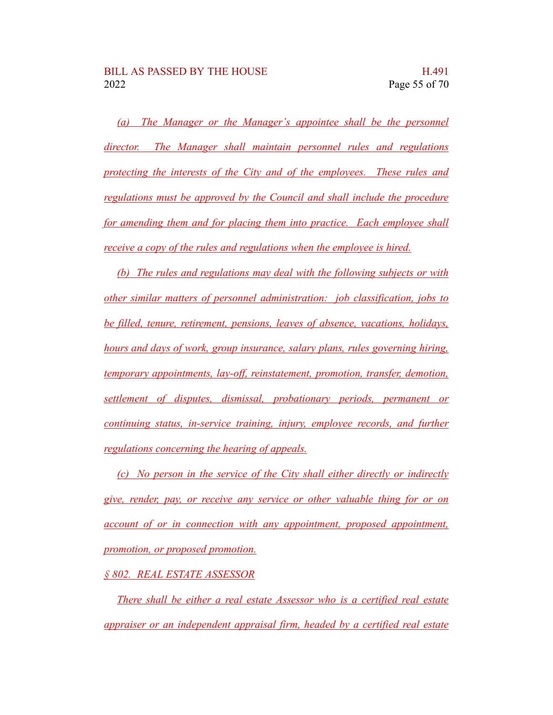*(a) The Manager or the Manager's appointee shall be the personnel director. The Manager shall maintain personnel rules and regulations protecting the interests of the City and of the employees. These rules and regulations must be approved by the Council and shall include the procedure for amending them and for placing them into practice. Each employee shall receive a copy of the rules and regulations when the employee is hired.*

*(b) The rules and regulations may deal with the following subjects or with other similar matters of personnel administration: job classification, jobs to be filled, tenure, retirement, pensions, leaves of absence, vacations, holidays, hours and days of work, group insurance, salary plans, rules governing hiring, temporary appointments, lay-off, reinstatement, promotion, transfer, demotion, settlement of disputes, dismissal, probationary periods, permanent or continuing status, in-service training, injury, employee records, and further regulations concerning the hearing of appeals.*

*(c) No person in the service of the City shall either directly or indirectly give, render, pay, or receive any service or other valuable thing for or on account of or in connection with any appointment, proposed appointment, promotion, or proposed promotion.*

#### *§ 802. REAL ESTATE ASSESSOR*

*There shall be either a real estate Assessor who is a certified real estate appraiser or an independent appraisal firm, headed by a certified real estate*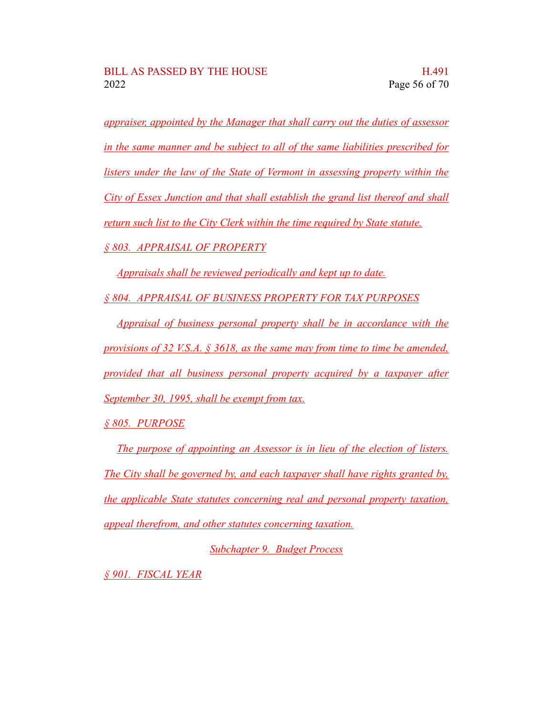*appraiser, appointed by the Manager that shall carry out the duties of assessor in the same manner and be subject to all of the same liabilities prescribed for listers under the law of the State of Vermont in assessing property within the City of Essex Junction and that shall establish the grand list thereof and shall return such list to the City Clerk within the time required by State statute. § 803. APPRAISAL OF PROPERTY*

*Appraisals shall be reviewed periodically and kept up to date.*

*§ 804. APPRAISAL OF BUSINESS PROPERTY FOR TAX PURPOSES*

*Appraisal of business personal property shall be in accordance with the provisions of 32 V.S.A. § 3618, as the same may from time to time be amended, provided that all business personal property acquired by a taxpayer after September 30, 1995, shall be exempt from tax.*

*§ 805. PURPOSE*

*The purpose of appointing an Assessor is in lieu of the election of listers. The City shall be governed by, and each taxpayer shall have rights granted by, the applicable State statutes concerning real and personal property taxation, appeal therefrom, and other statutes concerning taxation.*

*Subchapter 9. Budget Process*

*§ 901. FISCAL YEAR*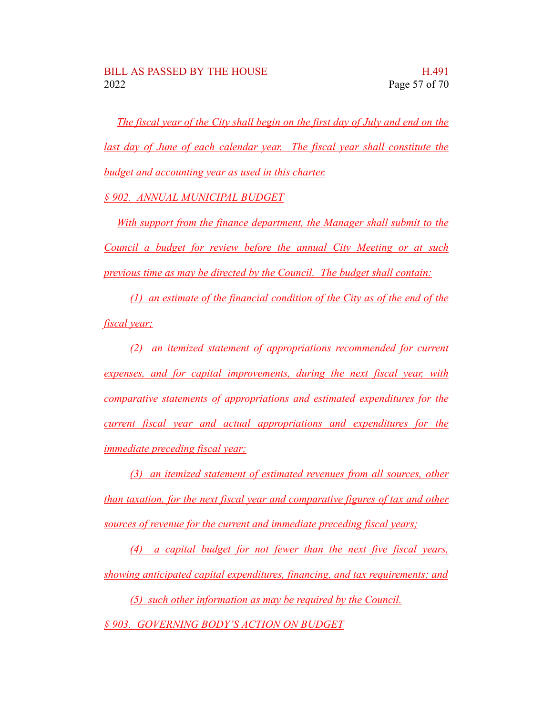*The fiscal year of the City shall begin on the first day of July and end on the last day of June of each calendar year. The fiscal year shall constitute the budget and accounting year as used in this charter.*

*§ 902. ANNUAL MUNICIPAL BUDGET*

*With support from the finance department, the Manager shall submit to the Council a budget for review before the annual City Meeting or at such previous time as may be directed by the Council. The budget shall contain:*

*(1) an estimate of the financial condition of the City as of the end of the fiscal year;*

*(2) an itemized statement of appropriations recommended for current expenses, and for capital improvements, during the next fiscal year, with comparative statements of appropriations and estimated expenditures for the current fiscal year and actual appropriations and expenditures for the immediate preceding fiscal year;*

*(3) an itemized statement of estimated revenues from all sources, other than taxation, for the next fiscal year and comparative figures of tax and other sources of revenue for the current and immediate preceding fiscal years;*

*(4) a capital budget for not fewer than the next five fiscal years, showing anticipated capital expenditures, financing, and tax requirements; and*

*(5) such other information as may be required by the Council. § 903. GOVERNING BODY'S ACTION ON BUDGET*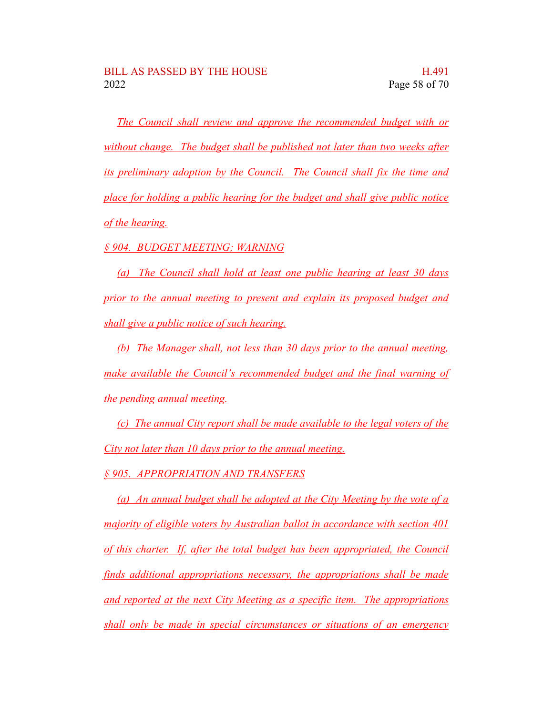*The Council shall review and approve the recommended budget with or without change. The budget shall be published not later than two weeks after its preliminary adoption by the Council. The Council shall fix the time and place for holding a public hearing for the budget and shall give public notice of the hearing.*

*§ 904. BUDGET MEETING; WARNING*

*(a) The Council shall hold at least one public hearing at least 30 days prior to the annual meeting to present and explain its proposed budget and shall give a public notice of such hearing.*

*(b) The Manager shall, not less than 30 days prior to the annual meeting, make available the Council's recommended budget and the final warning of the pending annual meeting.*

*(c) The annual City report shall be made available to the legal voters of the City not later than 10 days prior to the annual meeting.*

*§ 905. APPROPRIATION AND TRANSFERS*

*(a) An annual budget shall be adopted at the City Meeting by the vote of a majority of eligible voters by Australian ballot in accordance with section 401 of this charter. If, after the total budget has been appropriated, the Council finds additional appropriations necessary, the appropriations shall be made and reported at the next City Meeting as a specific item. The appropriations shall only be made in special circumstances or situations of an emergency*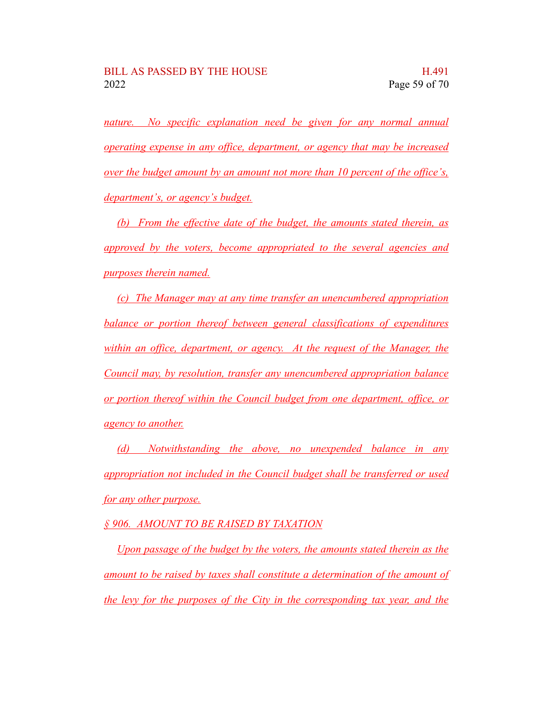*nature. No specific explanation need be given for any normal annual operating expense in any office, department, or agency that may be increased over the budget amount by an amount not more than 10 percent of the office's, department's, or agency's budget.*

*(b) From the effective date of the budget, the amounts stated therein, as approved by the voters, become appropriated to the several agencies and purposes therein named.*

*(c) The Manager may at any time transfer an unencumbered appropriation balance or portion thereof between general classifications of expenditures within an office, department, or agency. At the request of the Manager, the Council may, by resolution, transfer any unencumbered appropriation balance or portion thereof within the Council budget from one department, office, or agency to another.*

*(d) Notwithstanding the above, no unexpended balance in any appropriation not included in the Council budget shall be transferred or used for any other purpose.*

*§ 906. AMOUNT TO BE RAISED BY TAXATION*

*Upon passage of the budget by the voters, the amounts stated therein as the amount to be raised by taxes shall constitute a determination of the amount of the levy for the purposes of the City in the corresponding tax year, and the*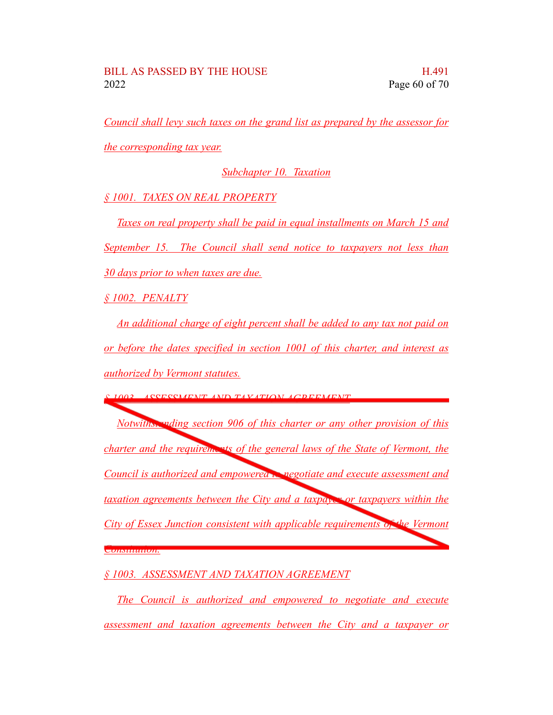*Council shall levy such taxes on the grand list as prepared by the assessor for*

*the corresponding tax year.*

### *Subchapter 10. Taxation*

*§ 1001. TAXES ON REAL PROPERTY*

*Taxes on real property shall be paid in equal installments on March 15 and September 15. The Council shall send notice to taxpayers not less than 30 days prior to when taxes are due.*

*§ 1002. PENALTY*

*An additional charge of eight percent shall be added to any tax not paid on or before the dates specified in section 1001 of this charter, and interest as authorized by Vermont statutes.*

*§ 1003. ASSESSMENT AND TAXATION AGREEMENT*

*Notwithstanding section 906 of this charter or any other provision of this charter and the requirements of the general laws of the State of Vermont, the Council is authorized and empowered to negotiate and execute assessment and taxation agreements between the City and a taxpayer or taxpayers within the City of Essex Junction consistent with applicable requirements of the Vermont Constitution.*

*§ 1003. ASSESSMENT AND TAXATION AGREEMENT*

*The Council is authorized and empowered to negotiate and execute assessment and taxation agreements between the City and a taxpayer or*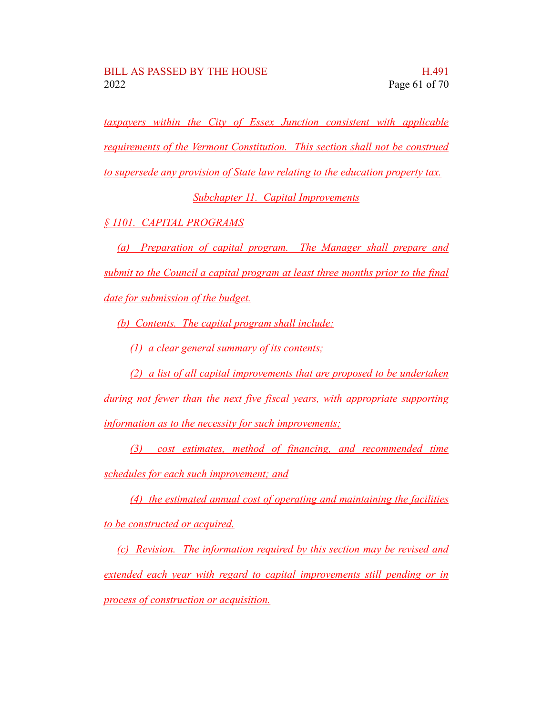*taxpayers within the City of Essex Junction consistent with applicable requirements of the Vermont Constitution. This section shall not be construed to supersede any provision of State law relating to the education property tax.*

*Subchapter 11. Capital Improvements*

*§ 1101. CAPITAL PROGRAMS*

*(a) Preparation of capital program. The Manager shall prepare and submit to the Council a capital program at least three months prior to the final date for submission of the budget.*

*(b) Contents. The capital program shall include:*

*(1) a clear general summary of its contents;*

*(2) a list of all capital improvements that are proposed to be undertaken*

*during not fewer than the next five fiscal years, with appropriate supporting information as to the necessity for such improvements;*

*(3) cost estimates, method of financing, and recommended time schedules for each such improvement; and*

*(4) the estimated annual cost of operating and maintaining the facilities to be constructed or acquired.*

*(c) Revision. The information required by this section may be revised and extended each year with regard to capital improvements still pending or in process of construction or acquisition.*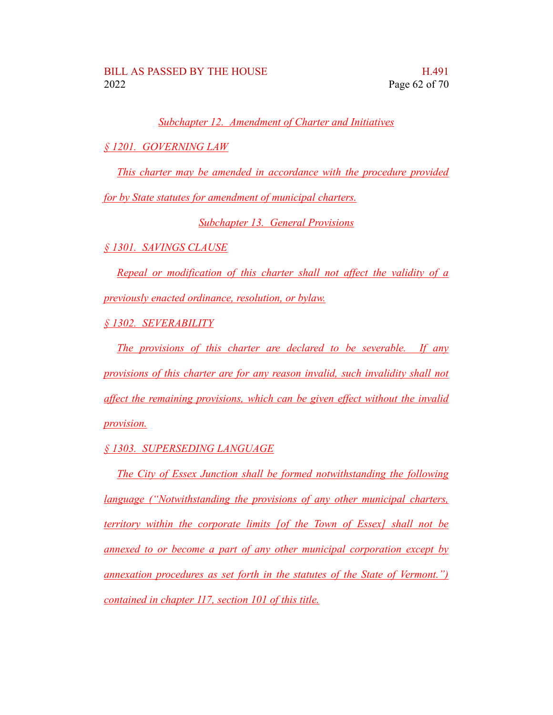*Subchapter 12. Amendment of Charter and Initiatives*

*§ 1201. GOVERNING LAW*

*This charter may be amended in accordance with the procedure provided*

*for by State statutes for amendment of municipal charters.*

*Subchapter 13. General Provisions*

*§ 1301. SAVINGS CLAUSE*

*Repeal or modification of this charter shall not affect the validity of a previously enacted ordinance, resolution, or bylaw.*

*§ 1302. SEVERABILITY*

*The provisions of this charter are declared to be severable. If any provisions of this charter are for any reason invalid, such invalidity shall not affect the remaining provisions, which can be given effect without the invalid provision.*

*§ 1303. SUPERSEDING LANGUAGE*

*The City of Essex Junction shall be formed notwithstanding the following language ("Notwithstanding the provisions of any other municipal charters, territory within the corporate limits [of the Town of Essex] shall not be annexed to or become a part of any other municipal corporation except by annexation procedures as set forth in the statutes of the State of Vermont.") contained in chapter 117, section 101 of this title.*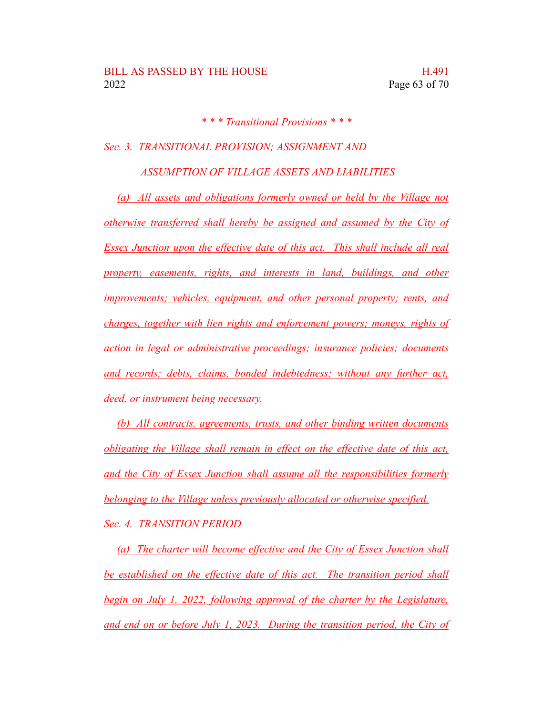*\* \* \* Transitional Provisions \* \* \**

*Sec. 3. TRANSITIONAL PROVISION; ASSIGNMENT AND*

*ASSUMPTION OF VILLAGE ASSETS AND LIABILITIES*

*(a) All assets and obligations formerly owned or held by the Village not otherwise transferred shall hereby be assigned and assumed by the City of Essex Junction upon the effective date of this act. This shall include all real property, easements, rights, and interests in land, buildings, and other improvements; vehicles, equipment, and other personal property; rents, and charges, together with lien rights and enforcement powers; moneys, rights of action in legal or administrative proceedings; insurance policies; documents and records; debts, claims, bonded indebtedness; without any further act, deed, or instrument being necessary.*

*(b) All contracts, agreements, trusts, and other binding written documents obligating the Village shall remain in effect on the effective date of this act, and the City of Essex Junction shall assume all the responsibilities formerly belonging to the Village unless previously allocated or otherwise specified. Sec. 4. TRANSITION PERIOD*

*(a) The charter will become effective and the City of Essex Junction shall be established on the effective date of this act. The transition period shall begin on July 1, 2022, following approval of the charter by the Legislature, and end on or before July 1, 2023. During the transition period, the City of*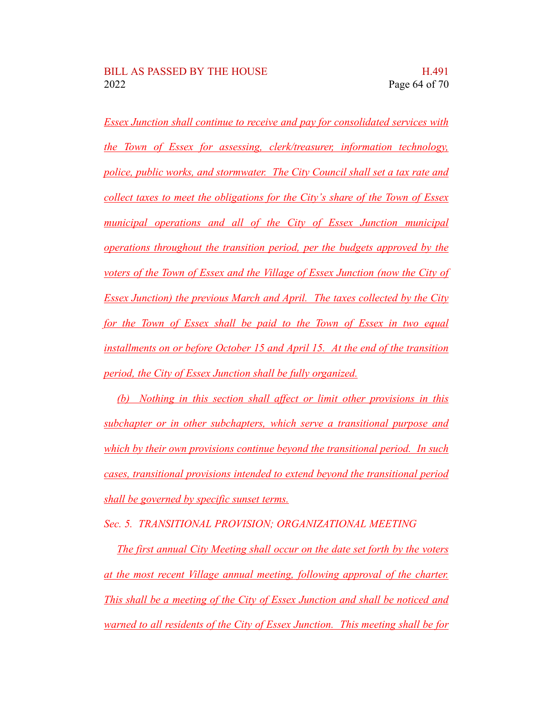*Essex Junction shall continue to receive and pay for consolidated services with the Town of Essex for assessing, clerk/treasurer, information technology, police, public works, and stormwater. The City Council shall set a tax rate and collect taxes to meet the obligations for the City's share of the Town of Essex municipal operations and all of the City of Essex Junction municipal operations throughout the transition period, per the budgets approved by the voters of the Town of Essex and the Village of Essex Junction (now the City of Essex Junction) the previous March and April. The taxes collected by the City for the Town of Essex shall be paid to the Town of Essex in two equal installments on or before October 15 and April 15. At the end of the transition period, the City of Essex Junction shall be fully organized.*

*(b) Nothing in this section shall affect or limit other provisions in this subchapter or in other subchapters, which serve a transitional purpose and which by their own provisions continue beyond the transitional period. In such cases, transitional provisions intended to extend beyond the transitional period shall be governed by specific sunset terms.*

*Sec. 5. TRANSITIONAL PROVISION; ORGANIZATIONAL MEETING*

*The first annual City Meeting shall occur on the date set forth by the voters at the most recent Village annual meeting, following approval of the charter. This shall be a meeting of the City of Essex Junction and shall be noticed and warned to all residents of the City of Essex Junction. This meeting shall be for*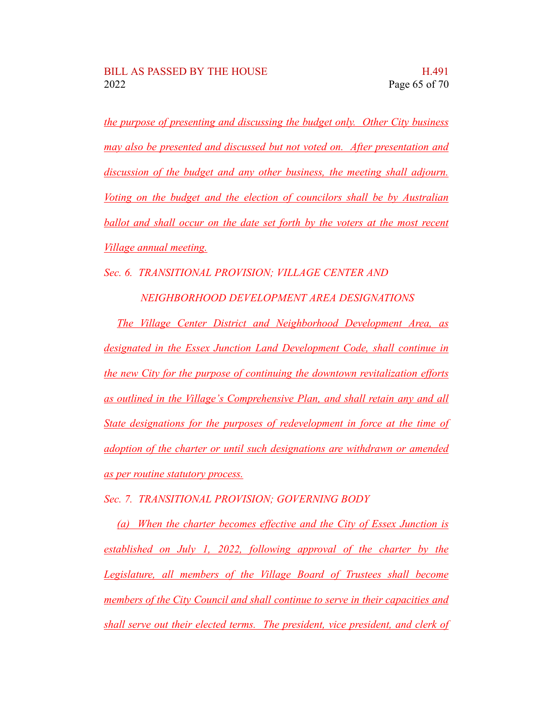*the purpose of presenting and discussing the budget only. Other City business may also be presented and discussed but not voted on. After presentation and discussion of the budget and any other business, the meeting shall adjourn. Voting on the budget and the election of councilors shall be by Australian ballot and shall occur on the date set forth by the voters at the most recent Village annual meeting.*

*Sec. 6. TRANSITIONAL PROVISION; VILLAGE CENTER AND*

*NEIGHBORHOOD DEVELOPMENT AREA DESIGNATIONS*

*The Village Center District and Neighborhood Development Area, as designated in the Essex Junction Land Development Code, shall continue in the new City for the purpose of continuing the downtown revitalization efforts as outlined in the Village's Comprehensive Plan, and shall retain any and all State designations for the purposes of redevelopment in force at the time of adoption of the charter or until such designations are withdrawn or amended as per routine statutory process.*

*Sec. 7. TRANSITIONAL PROVISION; GOVERNING BODY*

*(a) When the charter becomes effective and the City of Essex Junction is established on July 1, 2022, following approval of the charter by the Legislature, all members of the Village Board of Trustees shall become members of the City Council and shall continue to serve in their capacities and shall serve out their elected terms. The president, vice president, and clerk of*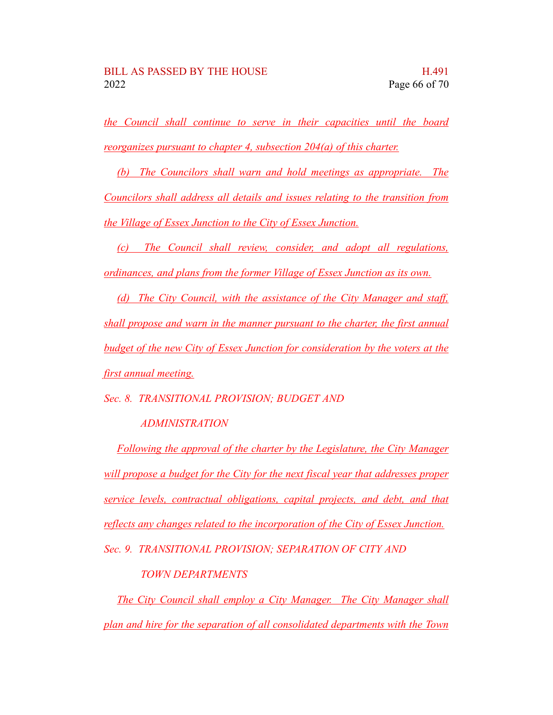*the Council shall continue to serve in their capacities until the board reorganizes pursuant to chapter 4, subsection 204(a) of this charter.*

*(b) The Councilors shall warn and hold meetings as appropriate. The Councilors shall address all details and issues relating to the transition from the Village of Essex Junction to the City of Essex Junction.*

*(c) The Council shall review, consider, and adopt all regulations, ordinances, and plans from the former Village of Essex Junction as its own.*

*(d) The City Council, with the assistance of the City Manager and staff, shall propose and warn in the manner pursuant to the charter, the first annual budget of the new City of Essex Junction for consideration by the voters at the first annual meeting.*

*Sec. 8. TRANSITIONAL PROVISION; BUDGET AND*

## *ADMINISTRATION*

*Following the approval of the charter by the Legislature, the City Manager will propose a budget for the City for the next fiscal year that addresses proper service levels, contractual obligations, capital projects, and debt, and that reflects any changes related to the incorporation of the City of Essex Junction.*

*Sec. 9. TRANSITIONAL PROVISION; SEPARATION OF CITY AND*

## *TOWN DEPARTMENTS*

*The City Council shall employ a City Manager. The City Manager shall plan and hire for the separation of all consolidated departments with the Town*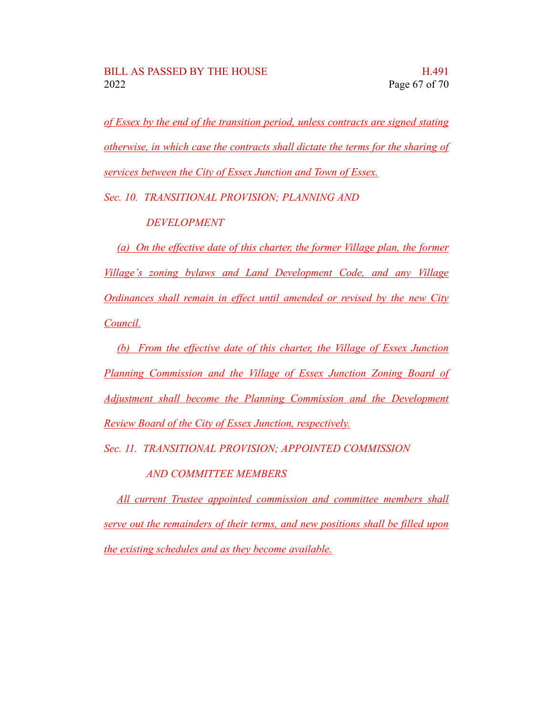*of Essex by the end of the transition period, unless contracts are signed stating otherwise, in which case the contracts shall dictate the terms for the sharing of services between the City of Essex Junction and Town of Essex.*

*Sec. 10. TRANSITIONAL PROVISION; PLANNING AND*

*DEVELOPMENT*

*(a) On the effective date of this charter, the former Village plan, the former Village's zoning bylaws and Land Development Code, and any Village Ordinances shall remain in effect until amended or revised by the new City Council.*

*(b) From the effective date of this charter, the Village of Essex Junction Planning Commission and the Village of Essex Junction Zoning Board of Adjustment shall become the Planning Commission and the Development Review Board of the City of Essex Junction, respectively.*

*Sec. 11. TRANSITIONAL PROVISION; APPOINTED COMMISSION*

*AND COMMITTEE MEMBERS*

*All current Trustee appointed commission and committee members shall serve out the remainders of their terms, and new positions shall be filled upon the existing schedules and as they become available.*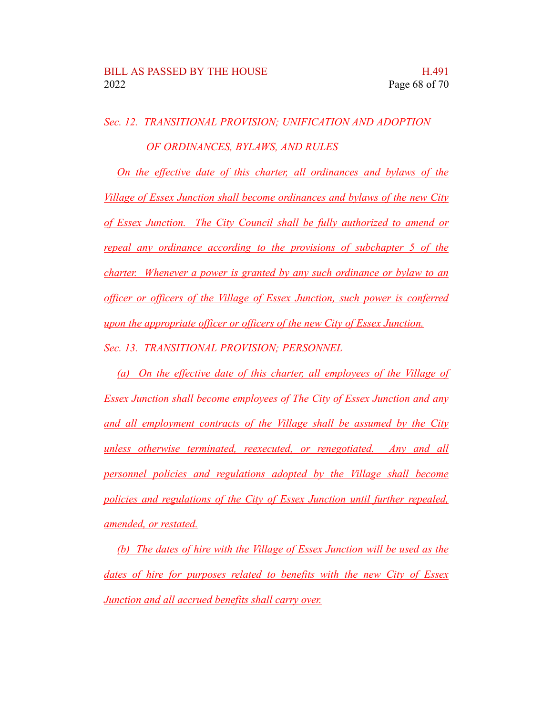*Sec. 12. TRANSITIONAL PROVISION; UNIFICATION AND ADOPTION OF ORDINANCES, BYLAWS, AND RULES*

*On the effective date of this charter, all ordinances and bylaws of the Village of Essex Junction shall become ordinances and bylaws of the new City of Essex Junction. The City Council shall be fully authorized to amend or repeal any ordinance according to the provisions of subchapter 5 of the charter. Whenever a power is granted by any such ordinance or bylaw to an officer or officers of the Village of Essex Junction, such power is conferred upon the appropriate officer or officers of the new City of Essex Junction. Sec. 13. TRANSITIONAL PROVISION; PERSONNEL*

*(a) On the effective date of this charter, all employees of the Village of Essex Junction shall become employees of The City of Essex Junction and any and all employment contracts of the Village shall be assumed by the City unless otherwise terminated, reexecuted, or renegotiated. Any and all personnel policies and regulations adopted by the Village shall become policies and regulations of the City of Essex Junction until further repealed, amended, or restated.*

*(b) The dates of hire with the Village of Essex Junction will be used as the dates of hire for purposes related to benefits with the new City of Essex Junction and all accrued benefits shall carry over.*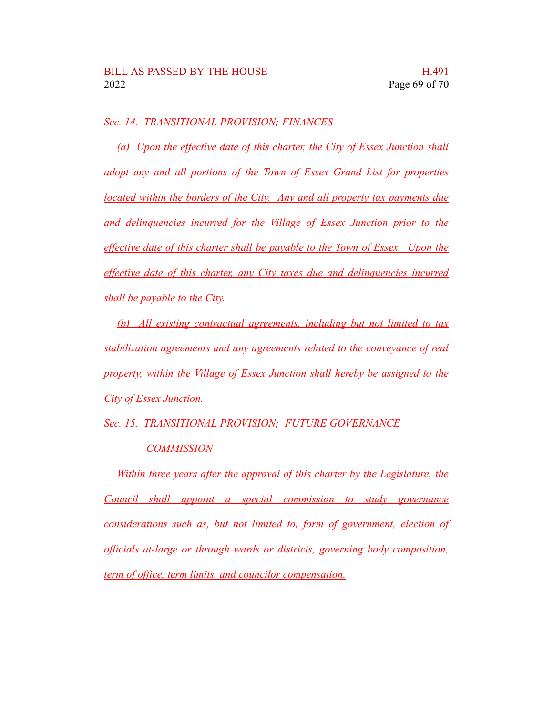*Sec. 14. TRANSITIONAL PROVISION; FINANCES*

*(a) Upon the effective date of this charter, the City of Essex Junction shall adopt any and all portions of the Town of Essex Grand List for properties located within the borders of the City. Any and all property tax payments due and delinquencies incurred for the Village of Essex Junction prior to the effective date of this charter shall be payable to the Town of Essex. Upon the effective date of this charter, any City taxes due and delinquencies incurred shall be payable to the City.*

*(b) All existing contractual agreements, including but not limited to tax stabilization agreements and any agreements related to the conveyance of real property, within the Village of Essex Junction shall hereby be assigned to the City of Essex Junction.*

*Sec. 15. TRANSITIONAL PROVISION; FUTURE GOVERNANCE*

#### *COMMISSION*

*Within three years after the approval of this charter by the Legislature, the Council shall appoint a special commission to study governance considerations such as, but not limited to, form of government, election of officials at-large or through wards or districts, governing body composition, term of office, term limits, and councilor compensation.*